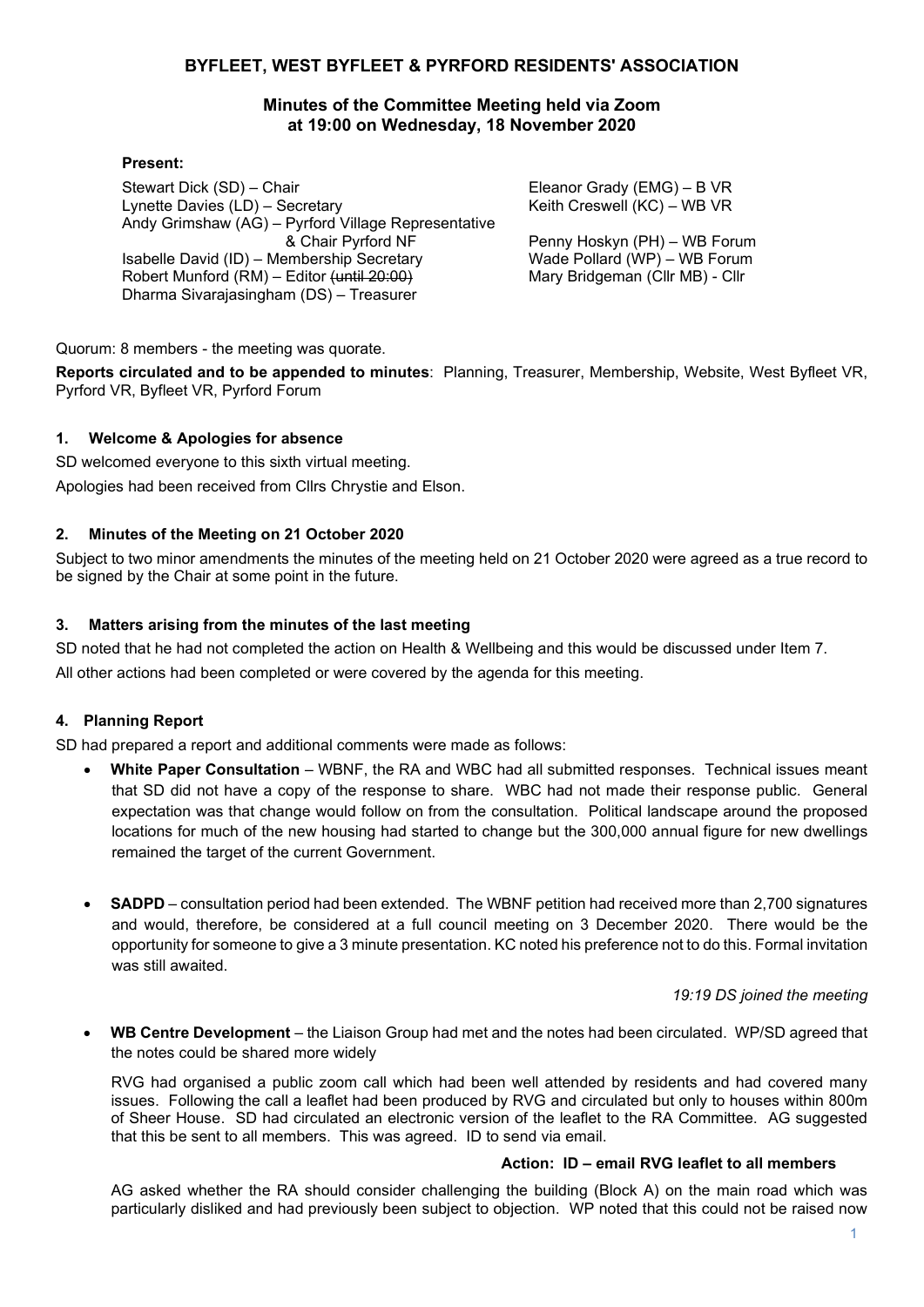#### **BYFLEET, WEST BYFLEET & PYRFORD RESIDENTS' ASSOCIATION**

#### **Minutes of the Committee Meeting held via Zoom at 19:00 on Wednesday, 18 November 2020**

#### **Present:**

Stewart Dick (SD) – Chair Lynette Davies (LD) – Secretary Andy Grimshaw (AG) – Pyrford Village Representative & Chair Pyrford NF Isabelle David (ID) – Membership Secretary Robert Munford (RM) – Editor (until 20:00) Dharma Sivarajasingham (DS) – Treasurer

Eleanor Grady (EMG) – B VR Keith Creswell (KC) – WB VR

Penny Hoskyn (PH) – WB Forum Wade Pollard (WP) – WB Forum Mary Bridgeman (Cllr MB) - Cllr

Quorum: 8 members - the meeting was quorate.

**Reports circulated and to be appended to minutes**: Planning, Treasurer, Membership, Website, West Byfleet VR, Pyrford VR, Byfleet VR, Pyrford Forum

#### **1. Welcome & Apologies for absence**

SD welcomed everyone to this sixth virtual meeting. Apologies had been received from Cllrs Chrystie and Elson.

#### **2. Minutes of the Meeting on 21 October 2020**

Subject to two minor amendments the minutes of the meeting held on 21 October 2020 were agreed as a true record to be signed by the Chair at some point in the future.

#### **3. Matters arising from the minutes of the last meeting**

SD noted that he had not completed the action on Health & Wellbeing and this would be discussed under Item 7. All other actions had been completed or were covered by the agenda for this meeting.

#### **4. Planning Report**

SD had prepared a report and additional comments were made as follows:

- **White Paper Consultation** WBNF, the RA and WBC had all submitted responses. Technical issues meant that SD did not have a copy of the response to share. WBC had not made their response public. General expectation was that change would follow on from the consultation. Political landscape around the proposed locations for much of the new housing had started to change but the 300,000 annual figure for new dwellings remained the target of the current Government.
- **SADPD** consultation period had been extended. The WBNF petition had received more than 2,700 signatures and would, therefore, be considered at a full council meeting on 3 December 2020. There would be the opportunity for someone to give a 3 minute presentation. KC noted his preference not to do this. Formal invitation was still awaited.

#### *19:19 DS joined the meeting*

• **WB Centre Development** – the Liaison Group had met and the notes had been circulated. WP/SD agreed that the notes could be shared more widely

RVG had organised a public zoom call which had been well attended by residents and had covered many issues. Following the call a leaflet had been produced by RVG and circulated but only to houses within 800m of Sheer House. SD had circulated an electronic version of the leaflet to the RA Committee. AG suggested that this be sent to all members. This was agreed. ID to send via email.

#### **Action: ID – email RVG leaflet to all members**

AG asked whether the RA should consider challenging the building (Block A) on the main road which was particularly disliked and had previously been subject to objection. WP noted that this could not be raised now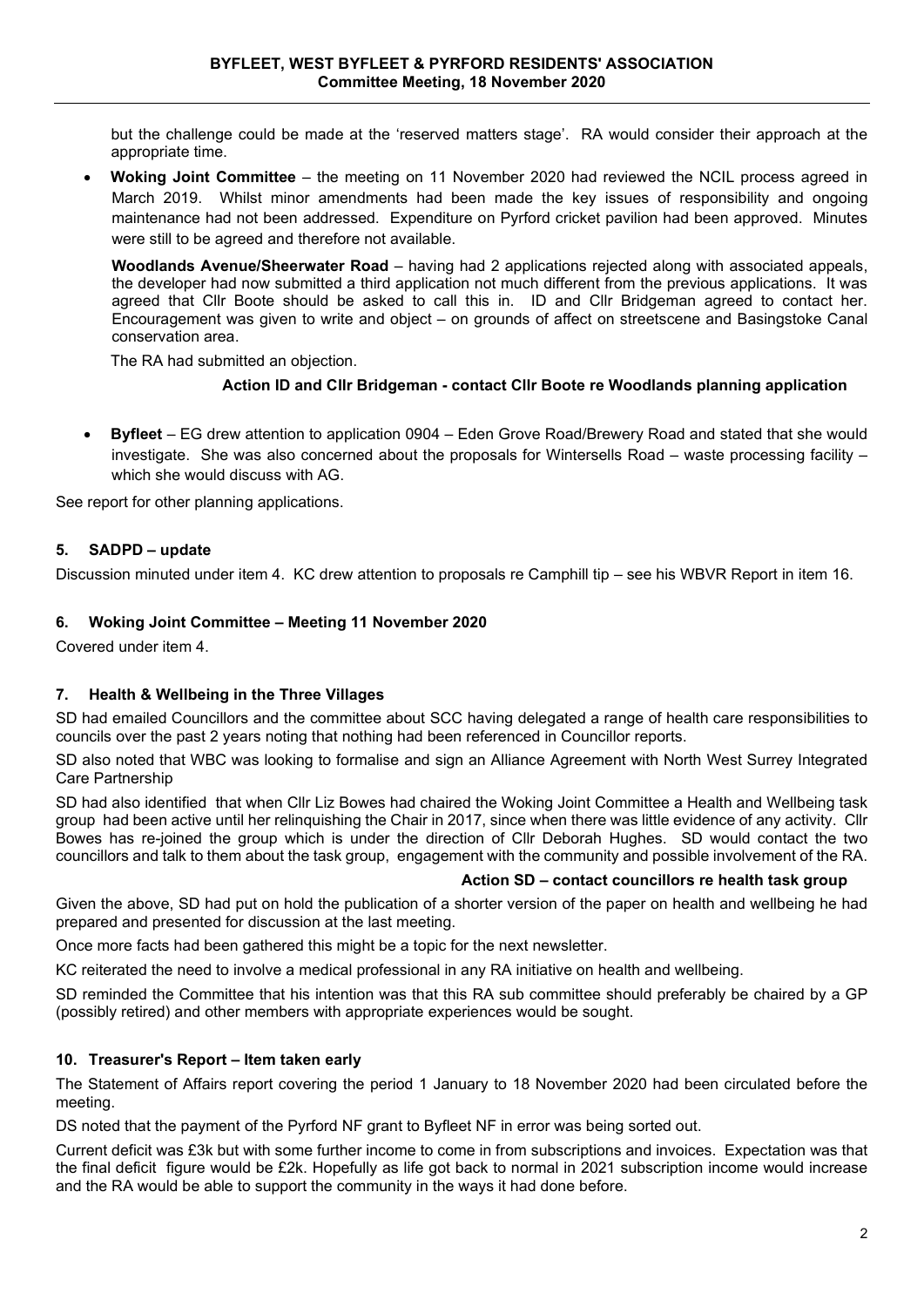but the challenge could be made at the 'reserved matters stage'. RA would consider their approach at the appropriate time.

• **Woking Joint Committee** – the meeting on 11 November 2020 had reviewed the NCIL process agreed in March 2019. Whilst minor amendments had been made the key issues of responsibility and ongoing maintenance had not been addressed. Expenditure on Pyrford cricket pavilion had been approved. Minutes were still to be agreed and therefore not available.

**Woodlands Avenue/Sheerwater Road** – having had 2 applications rejected along with associated appeals, the developer had now submitted a third application not much different from the previous applications. It was agreed that Cllr Boote should be asked to call this in. ID and Cllr Bridgeman agreed to contact her. Encouragement was given to write and object – on grounds of affect on streetscene and Basingstoke Canal conservation area.

The RA had submitted an objection.

#### **Action ID and Cllr Bridgeman - contact Cllr Boote re Woodlands planning application**

• **Byfleet** – EG drew attention to application 0904 – Eden Grove Road/Brewery Road and stated that she would investigate. She was also concerned about the proposals for Wintersells Road – waste processing facility – which she would discuss with AG.

See report for other planning applications.

#### **5. SADPD – update**

Discussion minuted under item 4. KC drew attention to proposals re Camphill tip – see his WBVR Report in item 16.

#### **6. Woking Joint Committee – Meeting 11 November 2020**

Covered under item 4.

#### **7. Health & Wellbeing in the Three Villages**

SD had emailed Councillors and the committee about SCC having delegated a range of health care responsibilities to councils over the past 2 years noting that nothing had been referenced in Councillor reports.

SD also noted that WBC was looking to formalise and sign an Alliance Agreement with North West Surrey Integrated Care Partnership

SD had also identified that when Cllr Liz Bowes had chaired the Woking Joint Committee a Health and Wellbeing task group had been active until her relinquishing the Chair in 2017, since when there was little evidence of any activity. Cllr Bowes has re-joined the group which is under the direction of Cllr Deborah Hughes. SD would contact the two councillors and talk to them about the task group, engagement with the community and possible involvement of the RA.

#### **Action SD – contact councillors re health task group**

Given the above, SD had put on hold the publication of a shorter version of the paper on health and wellbeing he had prepared and presented for discussion at the last meeting.

Once more facts had been gathered this might be a topic for the next newsletter.

KC reiterated the need to involve a medical professional in any RA initiative on health and wellbeing.

SD reminded the Committee that his intention was that this RA sub committee should preferably be chaired by a GP (possibly retired) and other members with appropriate experiences would be sought.

#### **10. Treasurer's Report – Item taken early**

The Statement of Affairs report covering the period 1 January to 18 November 2020 had been circulated before the meeting.

DS noted that the payment of the Pyrford NF grant to Byfleet NF in error was being sorted out.

Current deficit was £3k but with some further income to come in from subscriptions and invoices. Expectation was that the final deficit figure would be £2k. Hopefully as life got back to normal in 2021 subscription income would increase and the RA would be able to support the community in the ways it had done before.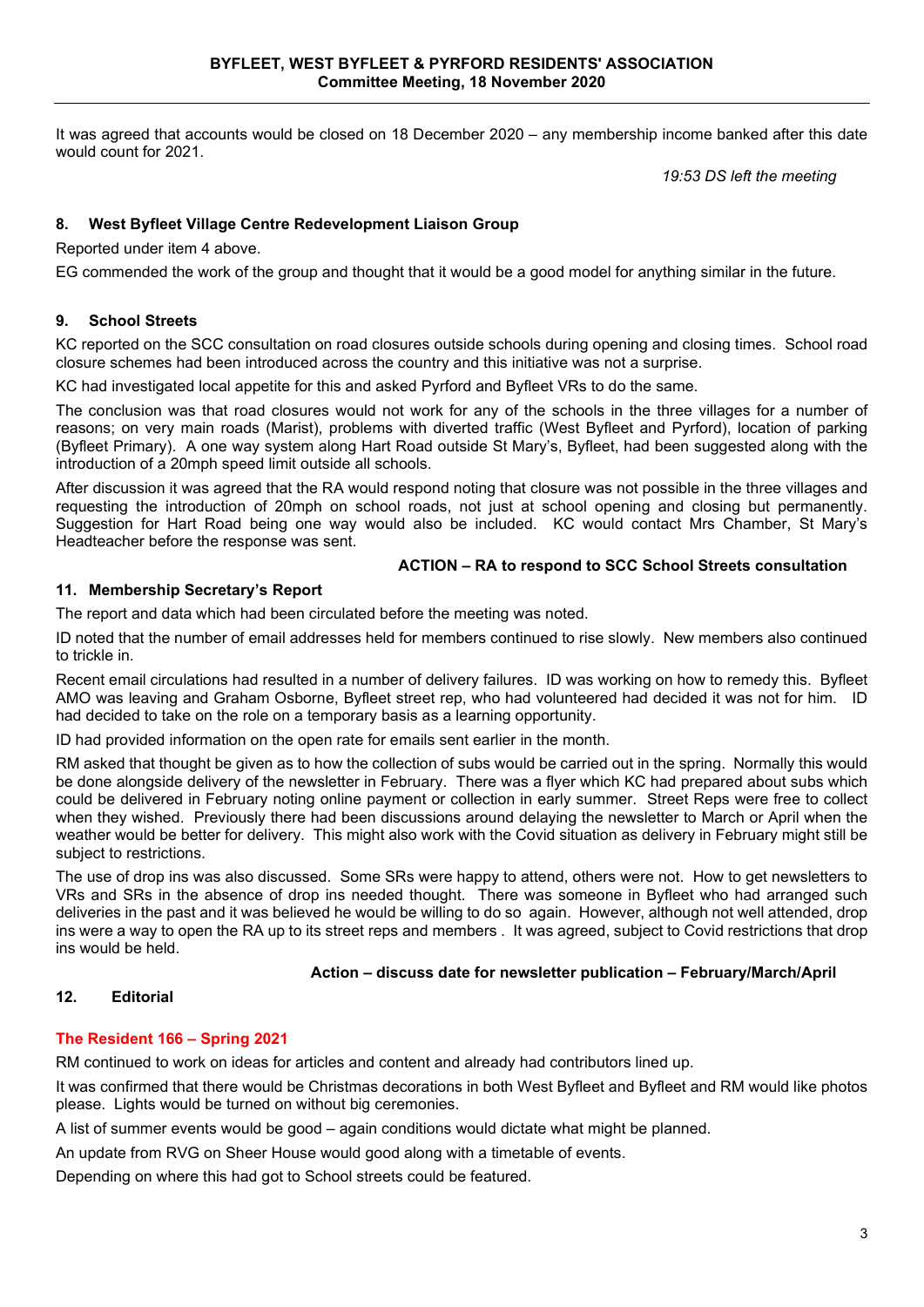It was agreed that accounts would be closed on 18 December 2020 – any membership income banked after this date would count for 2021.

*19:53 DS left the meeting*

#### **8. West Byfleet Village Centre Redevelopment Liaison Group**

Reported under item 4 above.

EG commended the work of the group and thought that it would be a good model for anything similar in the future.

#### **9. School Streets**

KC reported on the SCC consultation on road closures outside schools during opening and closing times. School road closure schemes had been introduced across the country and this initiative was not a surprise.

KC had investigated local appetite for this and asked Pyrford and Byfleet VRs to do the same.

The conclusion was that road closures would not work for any of the schools in the three villages for a number of reasons; on very main roads (Marist), problems with diverted traffic (West Byfleet and Pyrford), location of parking (Byfleet Primary). A one way system along Hart Road outside St Mary's, Byfleet, had been suggested along with the introduction of a 20mph speed limit outside all schools.

After discussion it was agreed that the RA would respond noting that closure was not possible in the three villages and requesting the introduction of 20mph on school roads, not just at school opening and closing but permanently. Suggestion for Hart Road being one way would also be included. KC would contact Mrs Chamber, St Mary's Headteacher before the response was sent.

#### **ACTION – RA to respond to SCC School Streets consultation**

#### **11. Membership Secretary's Report**

The report and data which had been circulated before the meeting was noted.

ID noted that the number of email addresses held for members continued to rise slowly. New members also continued to trickle in.

Recent email circulations had resulted in a number of delivery failures. ID was working on how to remedy this. Byfleet AMO was leaving and Graham Osborne, Byfleet street rep, who had volunteered had decided it was not for him. ID had decided to take on the role on a temporary basis as a learning opportunity.

ID had provided information on the open rate for emails sent earlier in the month.

RM asked that thought be given as to how the collection of subs would be carried out in the spring. Normally this would be done alongside delivery of the newsletter in February. There was a flyer which KC had prepared about subs which could be delivered in February noting online payment or collection in early summer. Street Reps were free to collect when they wished. Previously there had been discussions around delaying the newsletter to March or April when the weather would be better for delivery. This might also work with the Covid situation as delivery in February might still be subject to restrictions.

The use of drop ins was also discussed. Some SRs were happy to attend, others were not. How to get newsletters to VRs and SRs in the absence of drop ins needed thought. There was someone in Byfleet who had arranged such deliveries in the past and it was believed he would be willing to do so again. However, although not well attended, drop ins were a way to open the RA up to its street reps and members . It was agreed, subject to Covid restrictions that drop ins would be held.

#### **Action – discuss date for newsletter publication – February/March/April**

#### **12. Editorial**

#### **The Resident 166 – Spring 2021**

RM continued to work on ideas for articles and content and already had contributors lined up.

It was confirmed that there would be Christmas decorations in both West Byfleet and Byfleet and RM would like photos please. Lights would be turned on without big ceremonies.

A list of summer events would be good – again conditions would dictate what might be planned.

An update from RVG on Sheer House would good along with a timetable of events.

Depending on where this had got to School streets could be featured.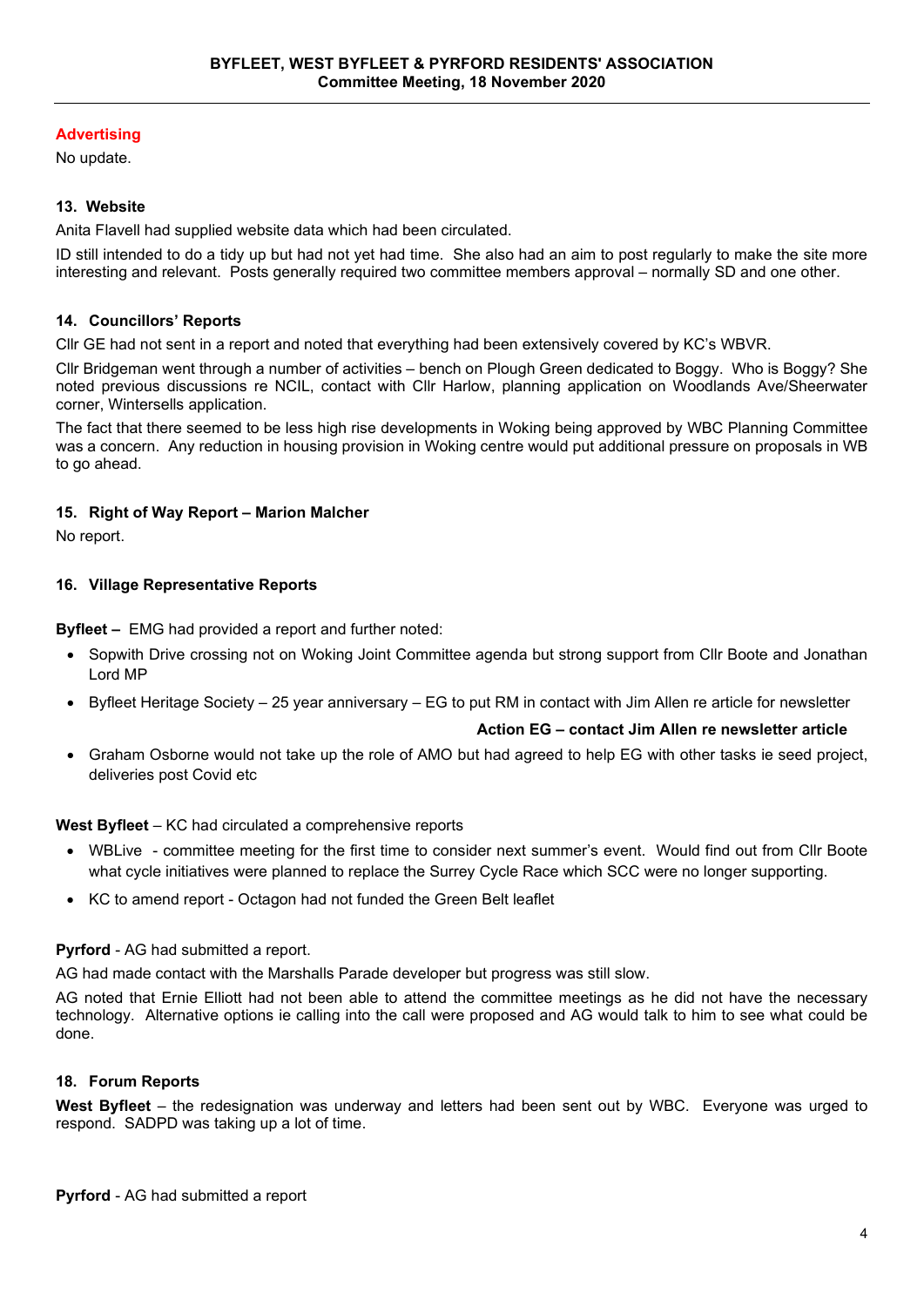#### **Advertising**

No update.

#### **13. Website**

Anita Flavell had supplied website data which had been circulated.

ID still intended to do a tidy up but had not yet had time. She also had an aim to post regularly to make the site more interesting and relevant.Posts generally required two committee members approval – normally SD and one other.

#### **14. Councillors' Reports**

Cllr GE had not sent in a report and noted that everything had been extensively covered by KC's WBVR.

Cllr Bridgeman went through a number of activities – bench on Plough Green dedicated to Boggy. Who is Boggy? She noted previous discussions re NCIL, contact with Cllr Harlow, planning application on Woodlands Ave/Sheerwater corner, Wintersells application.

The fact that there seemed to be less high rise developments in Woking being approved by WBC Planning Committee was a concern. Any reduction in housing provision in Woking centre would put additional pressure on proposals in WB to go ahead.

#### **15. Right of Way Report – Marion Malcher**

No report.

#### **16. Village Representative Reports**

**Byfleet –** EMG had provided a report and further noted:

- Sopwith Drive crossing not on Woking Joint Committee agenda but strong support from Cllr Boote and Jonathan Lord MP
- Byfleet Heritage Society 25 year anniversary EG to put RM in contact with Jim Allen re article for newsletter

#### **Action EG – contact Jim Allen re newsletter article**

• Graham Osborne would not take up the role of AMO but had agreed to help EG with other tasks ie seed project, deliveries post Covid etc

#### **West Byfleet** – KC had circulated a comprehensive reports

- WBLive committee meeting for the first time to consider next summer's event. Would find out from Cllr Boote what cycle initiatives were planned to replace the Surrey Cycle Race which SCC were no longer supporting.
- KC to amend report Octagon had not funded the Green Belt leaflet

#### **Pyrford** - AG had submitted a report.

AG had made contact with the Marshalls Parade developer but progress was still slow.

AG noted that Ernie Elliott had not been able to attend the committee meetings as he did not have the necessary technology. Alternative options ie calling into the call were proposed and AG would talk to him to see what could be done.

#### **18. Forum Reports**

**West Byfleet** – the redesignation was underway and letters had been sent out by WBC. Everyone was urged to respond. SADPD was taking up a lot of time.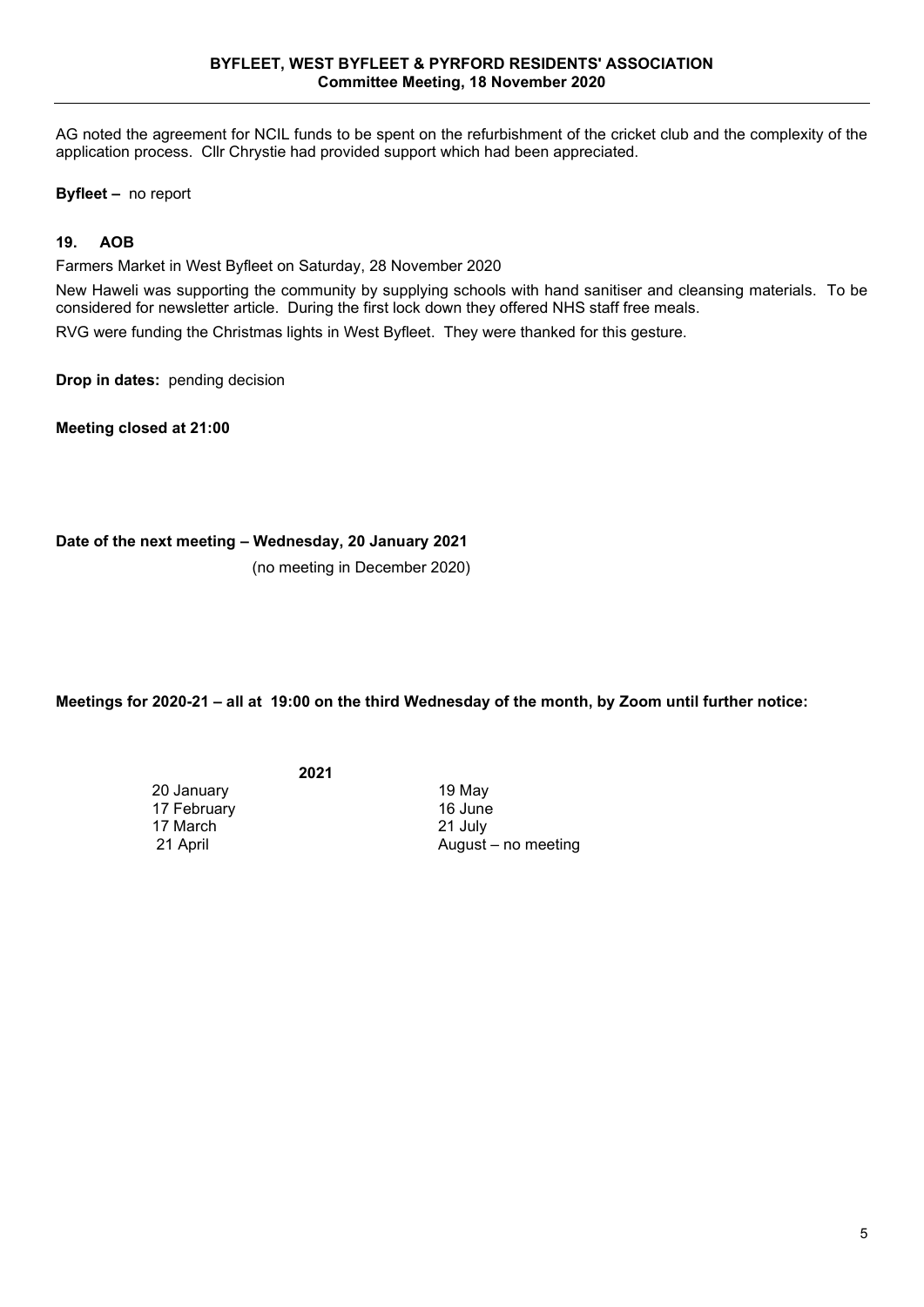AG noted the agreement for NCIL funds to be spent on the refurbishment of the cricket club and the complexity of the application process. Cllr Chrystie had provided support which had been appreciated.

**Byfleet –** no report

#### **19. AOB**

Farmers Market in West Byfleet on Saturday, 28 November 2020

New Haweli was supporting the community by supplying schools with hand sanitiser and cleansing materials. To be considered for newsletter article. During the first lock down they offered NHS staff free meals.

RVG were funding the Christmas lights in West Byfleet. They were thanked for this gesture.

**Drop in dates:** pending decision

**Meeting closed at 21:00** 

**Date of the next meeting – Wednesday, 20 January 2021**

(no meeting in December 2020)

**Meetings for 2020-21 – all at 19:00 on the third Wednesday of the month, by Zoom until further notice:**

**2021**

20 January 19 May 17 February 16 June<br>17 March 17 March 21 July 17 March<br>21 April

August – no meeting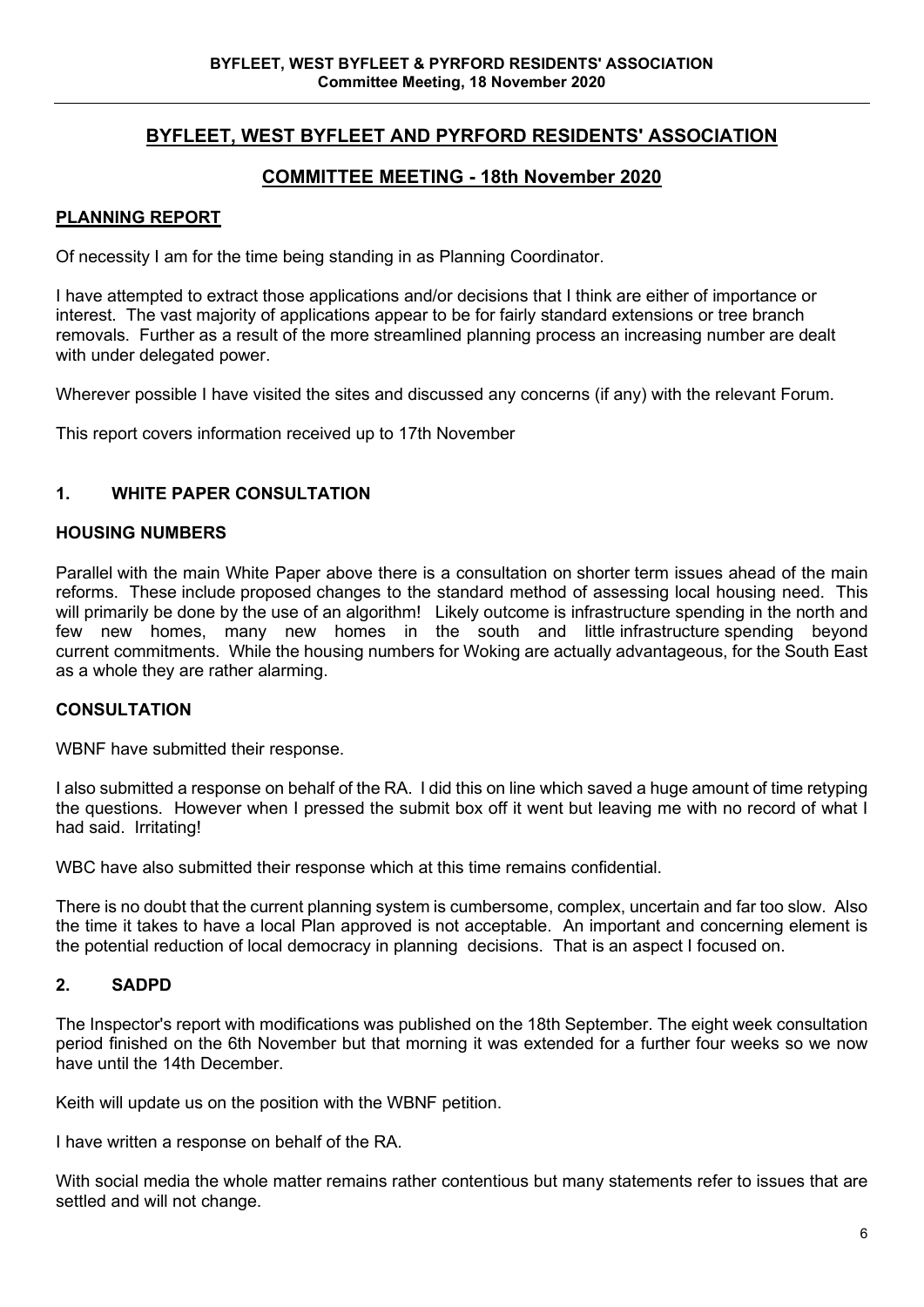# **BYFLEET, WEST BYFLEET AND PYRFORD RESIDENTS' ASSOCIATION**

# **COMMITTEE MEETING - 18th November 2020**

#### **PLANNING REPORT**

Of necessity I am for the time being standing in as Planning Coordinator.

I have attempted to extract those applications and/or decisions that I think are either of importance or interest. The vast majority of applications appear to be for fairly standard extensions or tree branch removals. Further as a result of the more streamlined planning process an increasing number are dealt with under delegated power.

Wherever possible I have visited the sites and discussed any concerns (if any) with the relevant Forum.

This report covers information received up to 17th November

#### **1. WHITE PAPER CONSULTATION**

#### **HOUSING NUMBERS**

Parallel with the main White Paper above there is a consultation on shorter term issues ahead of the main reforms. These include proposed changes to the standard method of assessing local housing need. This will primarily be done by the use of an algorithm! Likely outcome is infrastructure spending in the north and few new homes, many new homes in the south and little infrastructure spending beyond current commitments. While the housing numbers for Woking are actually advantageous, for the South East as a whole they are rather alarming.

#### **CONSULTATION**

WBNF have submitted their response.

I also submitted a response on behalf of the RA. I did this on line which saved a huge amount of time retyping the questions. However when I pressed the submit box off it went but leaving me with no record of what I had said. Irritating!

WBC have also submitted their response which at this time remains confidential.

There is no doubt that the current planning system is cumbersome, complex, uncertain and far too slow. Also the time it takes to have a local Plan approved is not acceptable. An important and concerning element is the potential reduction of local democracy in planning decisions. That is an aspect I focused on.

#### **2. SADPD**

The Inspector's report with modifications was published on the 18th September. The eight week consultation period finished on the 6th November but that morning it was extended for a further four weeks so we now have until the 14th December.

Keith will update us on the position with the WBNF petition.

I have written a response on behalf of the RA.

With social media the whole matter remains rather contentious but many statements refer to issues that are settled and will not change.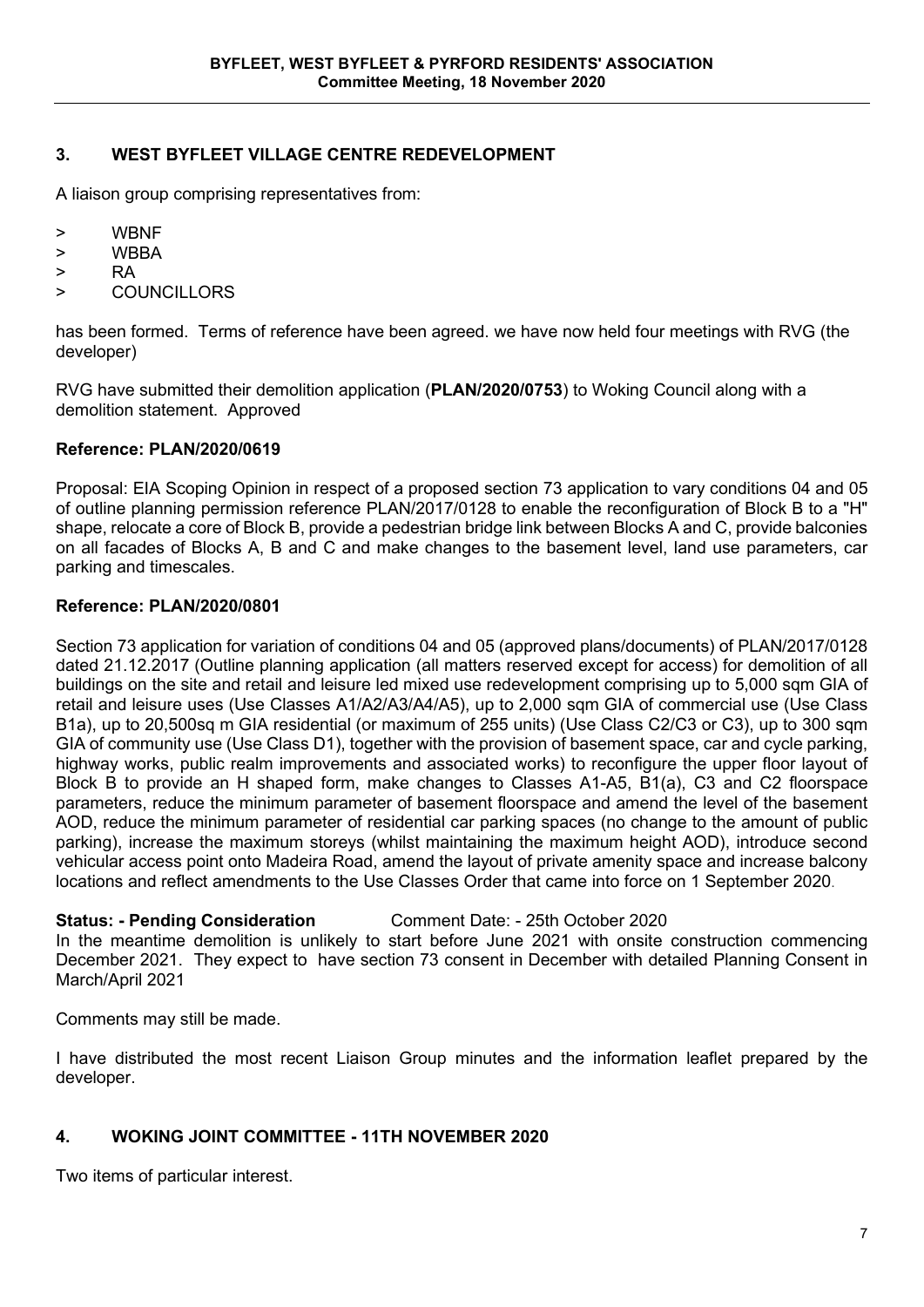# **3. WEST BYFLEET VILLAGE CENTRE REDEVELOPMENT**

A liaison group comprising representatives from:

- > WBNF
- > WBBA
- > RA
- > COUNCILLORS

has been formed. Terms of reference have been agreed. we have now held four meetings with RVG (the developer)

RVG have submitted their demolition application (**PLAN/2020/0753**) to Woking Council along with a demolition statement. Approved

#### **Reference: PLAN/2020/0619**

Proposal: EIA Scoping Opinion in respect of a proposed section 73 application to vary conditions 04 and 05 of outline planning permission reference PLAN/2017/0128 to enable the reconfiguration of Block B to a "H" shape, relocate a core of Block B, provide a pedestrian bridge link between Blocks A and C, provide balconies on all facades of Blocks A, B and C and make changes to the basement level, land use parameters, car parking and timescales.

#### **Reference: PLAN/2020/0801**

Section 73 application for variation of conditions 04 and 05 (approved plans/documents) of PLAN/2017/0128 dated 21.12.2017 (Outline planning application (all matters reserved except for access) for demolition of all buildings on the site and retail and leisure led mixed use redevelopment comprising up to 5,000 sqm GIA of retail and leisure uses (Use Classes A1/A2/A3/A4/A5), up to 2,000 sqm GIA of commercial use (Use Class B1a), up to 20,500sq m GIA residential (or maximum of 255 units) (Use Class C2/C3 or C3), up to 300 sqm GIA of community use (Use Class D1), together with the provision of basement space, car and cycle parking, highway works, public realm improvements and associated works) to reconfigure the upper floor layout of Block B to provide an H shaped form, make changes to Classes A1-A5, B1(a), C3 and C2 floorspace parameters, reduce the minimum parameter of basement floorspace and amend the level of the basement AOD, reduce the minimum parameter of residential car parking spaces (no change to the amount of public parking), increase the maximum storeys (whilst maintaining the maximum height AOD), introduce second vehicular access point onto Madeira Road, amend the layout of private amenity space and increase balcony locations and reflect amendments to the Use Classes Order that came into force on 1 September 2020.

#### **Status: - Pending Consideration** Comment Date: - 25th October 2020

In the meantime demolition is unlikely to start before June 2021 with onsite construction commencing December 2021. They expect to have section 73 consent in December with detailed Planning Consent in March/April 2021

Comments may still be made.

I have distributed the most recent Liaison Group minutes and the information leaflet prepared by the developer.

#### **4. WOKING JOINT COMMITTEE - 11TH NOVEMBER 2020**

Two items of particular interest.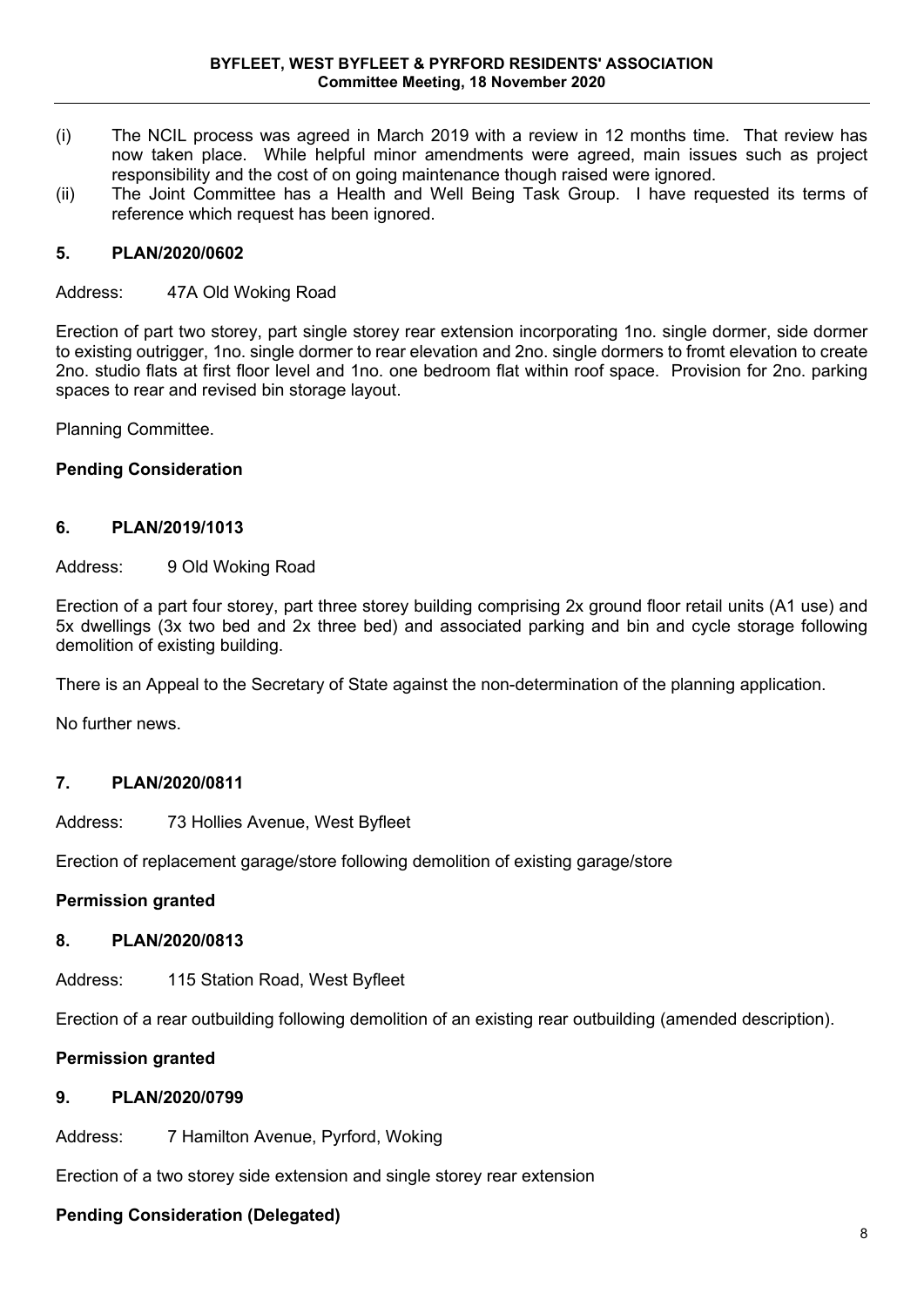- (i) The NCIL process was agreed in March 2019 with a review in 12 months time. That review has now taken place. While helpful minor amendments were agreed, main issues such as project responsibility and the cost of on going maintenance though raised were ignored.
- (ii) The Joint Committee has a Health and Well Being Task Group. I have requested its terms of reference which request has been ignored.

### **5. PLAN/2020/0602**

Address: 47A Old Woking Road

Erection of part two storey, part single storey rear extension incorporating 1no. single dormer, side dormer to existing outrigger, 1no. single dormer to rear elevation and 2no. single dormers to fromt elevation to create 2no. studio flats at first floor level and 1no. one bedroom flat within roof space. Provision for 2no. parking spaces to rear and revised bin storage layout.

Planning Committee.

#### **Pending Consideration**

### **6. PLAN/2019/1013**

Address: 9 Old Woking Road

Erection of a part four storey, part three storey building comprising 2x ground floor retail units (A1 use) and 5x dwellings (3x two bed and 2x three bed) and associated parking and bin and cycle storage following demolition of existing building.

There is an Appeal to the Secretary of State against the non-determination of the planning application.

No further news.

#### **7. PLAN/2020/0811**

Address: 73 Hollies Avenue, West Byfleet

Erection of replacement garage/store following demolition of existing garage/store

#### **Permission granted**

#### **8. PLAN/2020/0813**

Address: 115 Station Road, West Byfleet

Erection of a rear outbuilding following demolition of an existing rear outbuilding (amended description).

#### **Permission granted**

### **9. PLAN/2020/0799**

Address: 7 Hamilton Avenue, Pyrford, Woking

Erection of a two storey side extension and single storey rear extension

#### **Pending Consideration (Delegated)**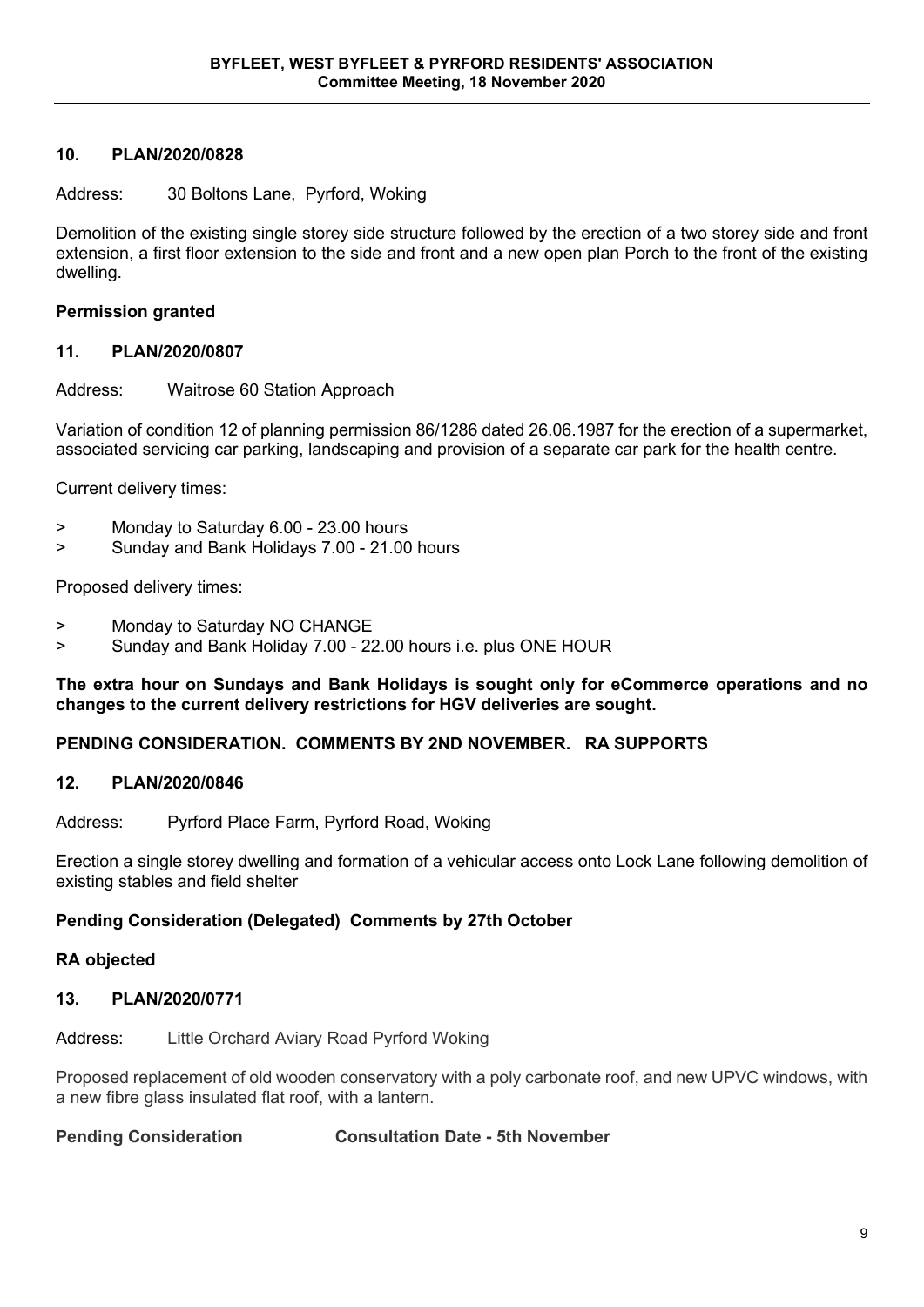#### **10. PLAN/2020/0828**

Address: 30 Boltons Lane, Pyrford, Woking

Demolition of the existing single storey side structure followed by the erection of a two storey side and front extension, a first floor extension to the side and front and a new open plan Porch to the front of the existing dwelling.

#### **Permission granted**

#### **11. PLAN/2020/0807**

Address: Waitrose 60 Station Approach

Variation of condition 12 of planning permission 86/1286 dated 26.06.1987 for the erection of a supermarket, associated servicing car parking, landscaping and provision of a separate car park for the health centre.

Current delivery times:

- > Monday to Saturday 6.00 23.00 hours
- > Sunday and Bank Holidays 7.00 21.00 hours

Proposed delivery times:

- > Monday to Saturday NO CHANGE
- > Sunday and Bank Holiday 7.00 22.00 hours i.e. plus ONE HOUR

**The extra hour on Sundays and Bank Holidays is sought only for eCommerce operations and no changes to the current delivery restrictions for HGV deliveries are sought.**

#### **PENDING CONSIDERATION. COMMENTS BY 2ND NOVEMBER. RA SUPPORTS**

#### **12. PLAN/2020/0846**

Address: Pyrford Place Farm, Pyrford Road, Woking

Erection a single storey dwelling and formation of a vehicular access onto Lock Lane following demolition of existing stables and field shelter

#### **Pending Consideration (Delegated) Comments by 27th October**

#### **RA objected**

#### **13. PLAN/2020/0771**

Address: Little Orchard Aviary Road Pyrford Woking

Proposed replacement of old wooden conservatory with a poly carbonate roof, and new UPVC windows, with a new fibre glass insulated flat roof, with a lantern.

**Pending Consideration Consultation Date - 5th November**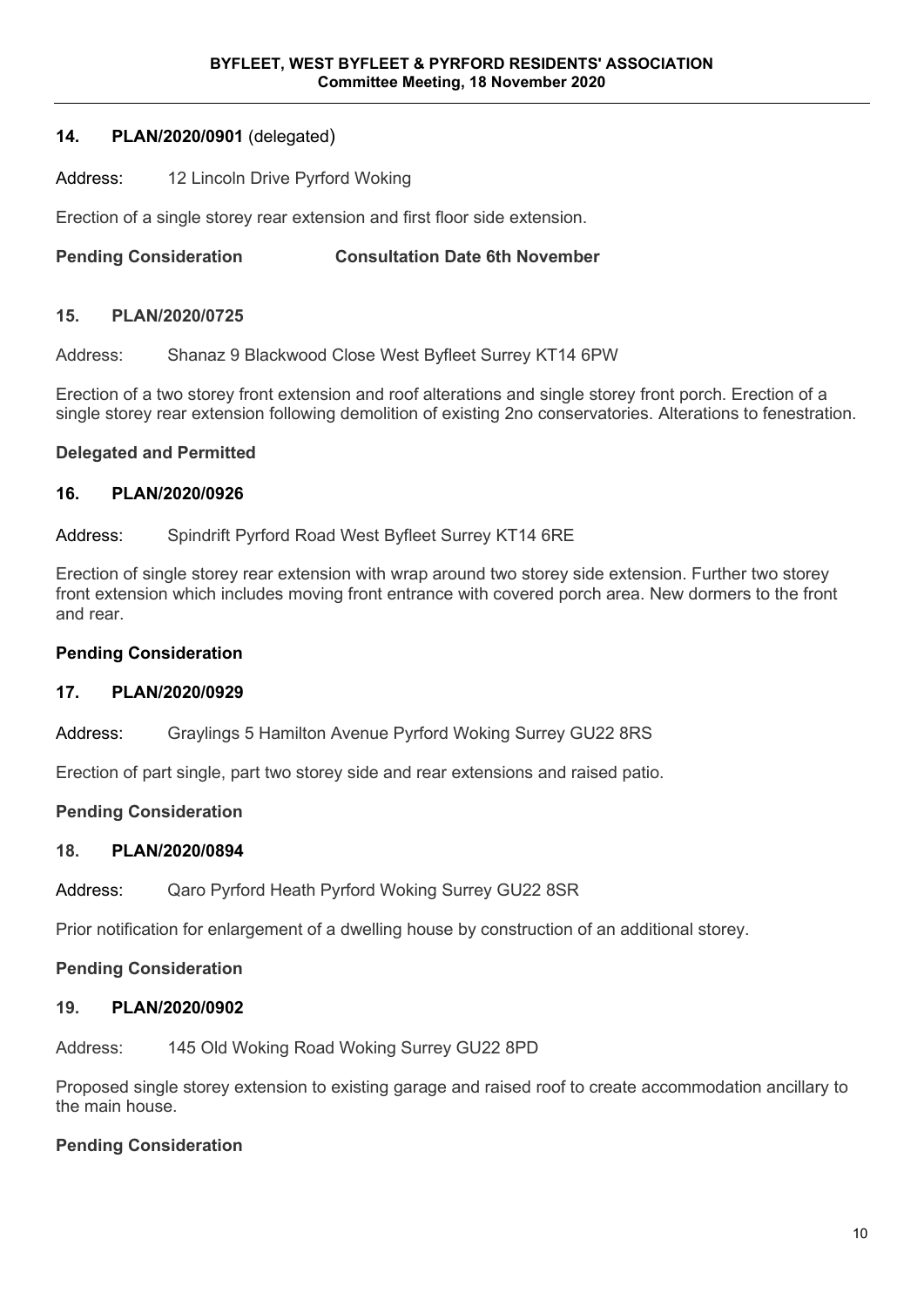#### **14. PLAN/2020/0901** (delegated)

#### Address: 12 Lincoln Drive Pyrford Woking

Erection of a single storey rear extension and first floor side extension.

**Pending Consideration Consultation Date 6th November**

#### **15. PLAN/2020/0725**

Address: Shanaz 9 Blackwood Close West Byfleet Surrey KT14 6PW

Erection of a two storey front extension and roof alterations and single storey front porch. Erection of a single storey rear extension following demolition of existing 2no conservatories. Alterations to fenestration.

#### **Delegated and Permitted**

#### **16. PLAN/2020/0926**

Address: Spindrift Pyrford Road West Byfleet Surrey KT14 6RE

Erection of single storey rear extension with wrap around two storey side extension. Further two storey front extension which includes moving front entrance with covered porch area. New dormers to the front and rear.

#### **Pending Consideration**

#### **17. PLAN/2020/0929**

Address: Graylings 5 Hamilton Avenue Pyrford Woking Surrey GU22 8RS

Erection of part single, part two storey side and rear extensions and raised patio.

#### **Pending Consideration**

#### **18. PLAN/2020/0894**

Address: Qaro Pyrford Heath Pyrford Woking Surrey GU22 8SR

Prior notification for enlargement of a dwelling house by construction of an additional storey.

#### **Pending Consideration**

#### **19. PLAN/2020/0902**

Address: 145 Old Woking Road Woking Surrey GU22 8PD

Proposed single storey extension to existing garage and raised roof to create accommodation ancillary to the main house.

#### **Pending Consideration**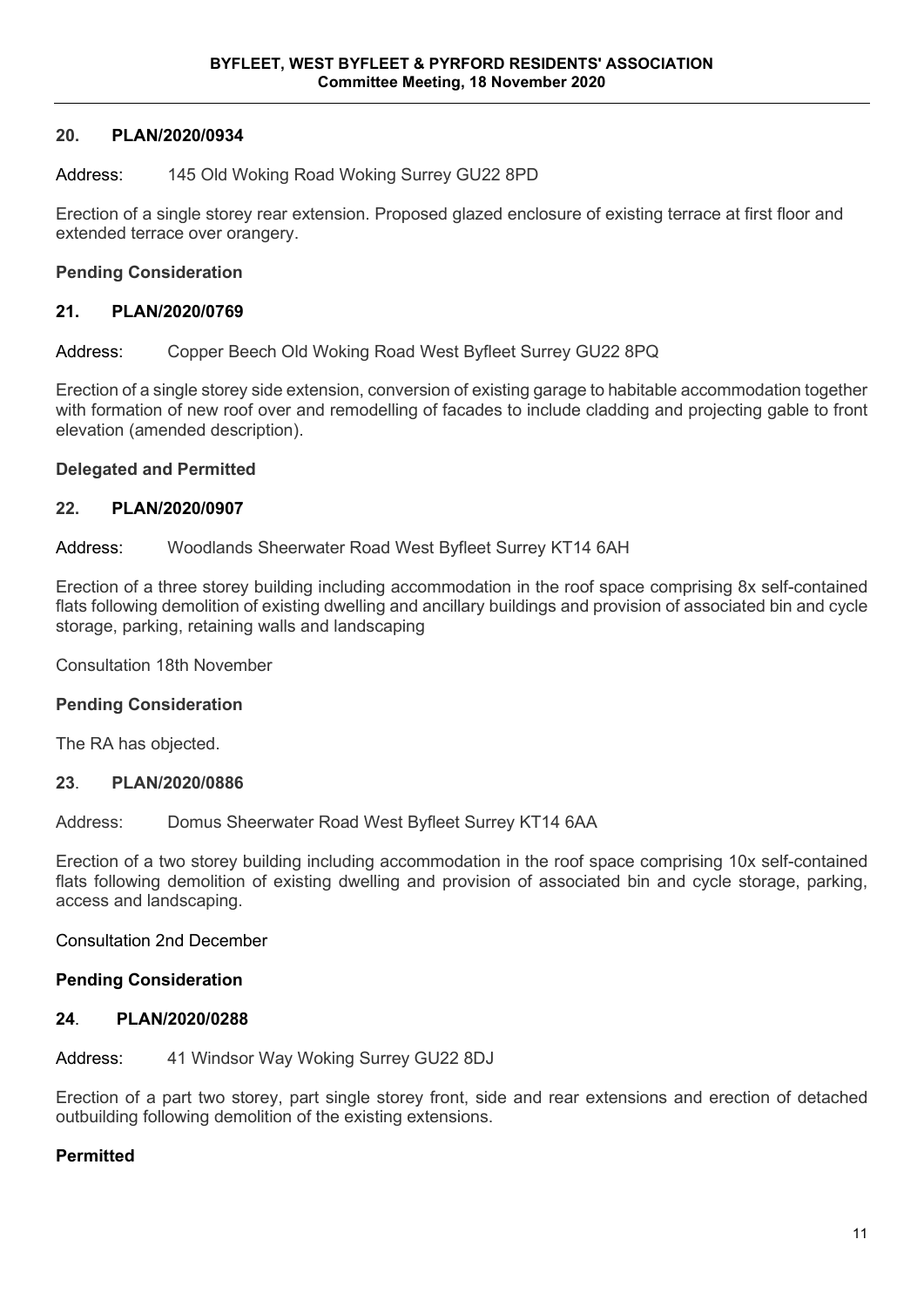#### **20. PLAN/2020/0934**

#### Address: 145 Old Woking Road Woking Surrey GU22 8PD

Erection of a single storey rear extension. Proposed glazed enclosure of existing terrace at first floor and extended terrace over orangery.

#### **Pending Consideration**

#### **21. PLAN/2020/0769**

Address: Copper Beech Old Woking Road West Byfleet Surrey GU22 8PQ

Erection of a single storey side extension, conversion of existing garage to habitable accommodation together with formation of new roof over and remodelling of facades to include cladding and projecting gable to front elevation (amended description).

#### **Delegated and Permitted**

#### **22. PLAN/2020/0907**

Address: Woodlands Sheerwater Road West Byfleet Surrey KT14 6AH

Erection of a three storey building including accommodation in the roof space comprising 8x self-contained flats following demolition of existing dwelling and ancillary buildings and provision of associated bin and cycle storage, parking, retaining walls and landscaping

Consultation 18th November

#### **Pending Consideration**

The RA has objected.

#### **23**. **PLAN/2020/0886**

Address: Domus Sheerwater Road West Byfleet Surrey KT14 6AA

Erection of a two storey building including accommodation in the roof space comprising 10x self-contained flats following demolition of existing dwelling and provision of associated bin and cycle storage, parking, access and landscaping.

#### Consultation 2nd December

#### **Pending Consideration**

#### **24**. **PLAN/2020/0288**

Address: 41 Windsor Way Woking Surrey GU22 8DJ

Erection of a part two storey, part single storey front, side and rear extensions and erection of detached outbuilding following demolition of the existing extensions.

#### **Permitted**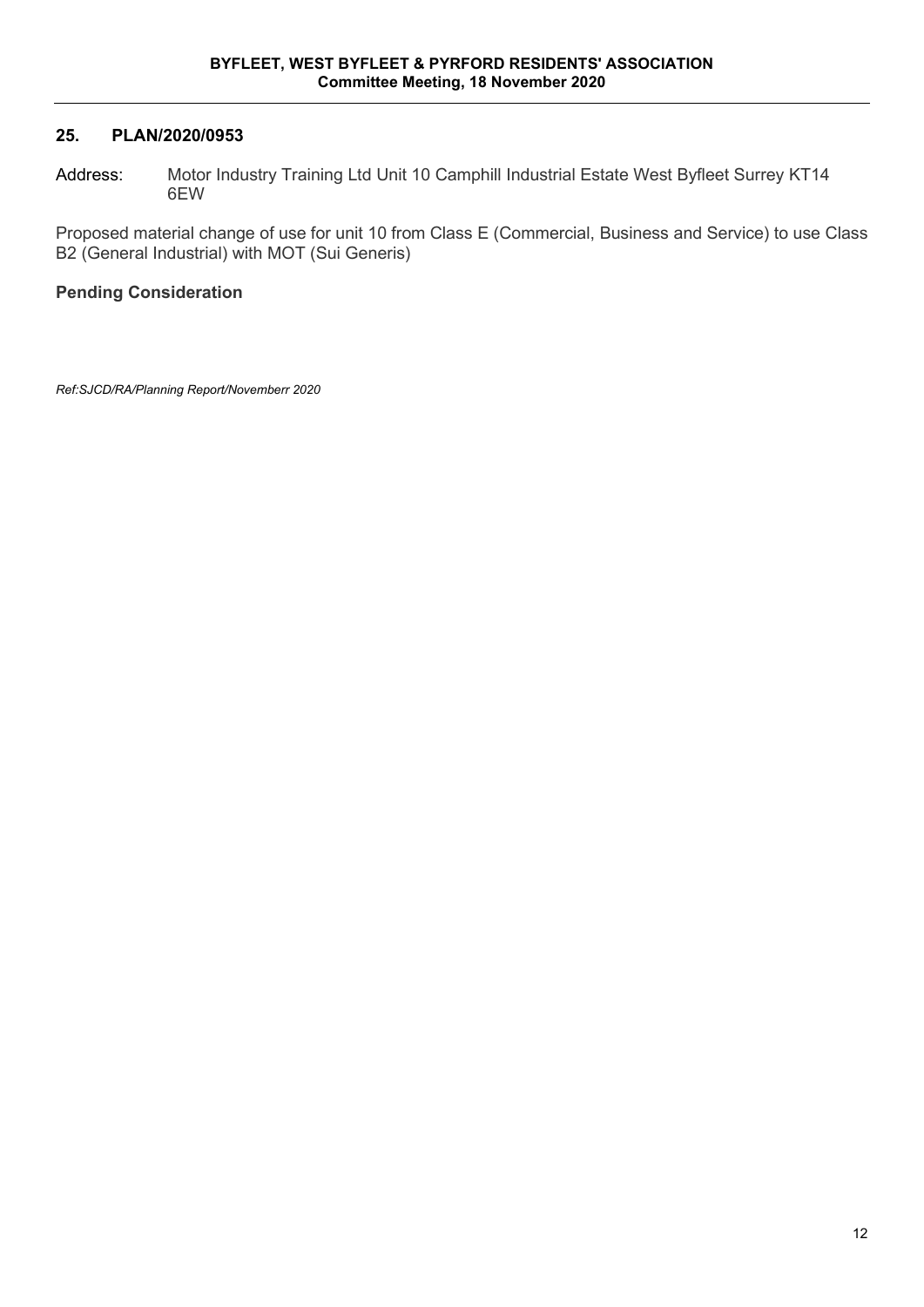### **25. PLAN/2020/0953**

Address: Motor Industry Training Ltd Unit 10 Camphill Industrial Estate West Byfleet Surrey KT14 6EW

Proposed material change of use for unit 10 from Class E (Commercial, Business and Service) to use Class B2 (General Industrial) with MOT (Sui Generis)

# **Pending Consideration**

*Ref:SJCD/RA/Planning Report/Novemberr 2020*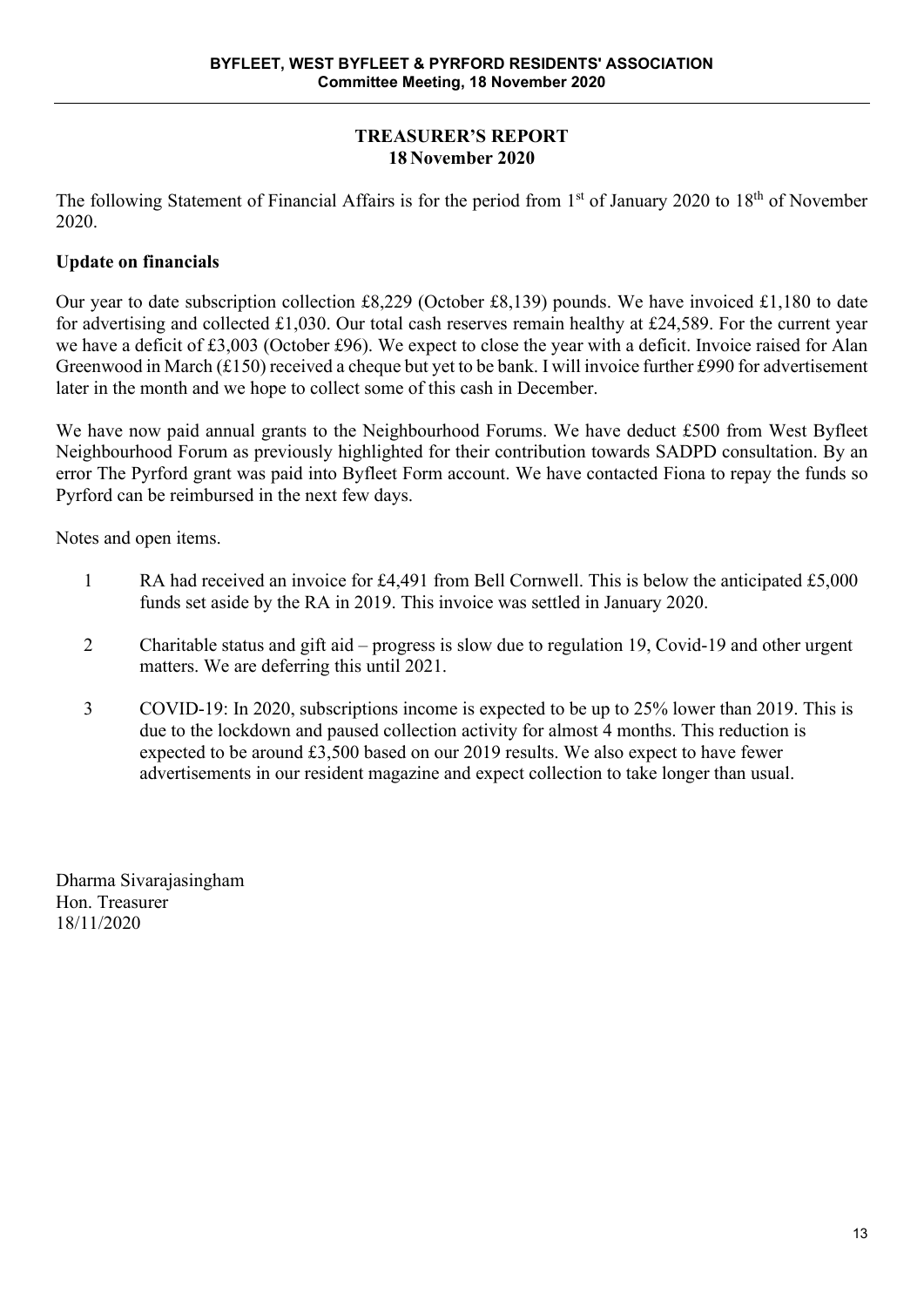# **TREASURER'S REPORT 18 November 2020**

The following Statement of Financial Affairs is for the period from 1<sup>st</sup> of January 2020 to 18<sup>th</sup> of November 2020.

# **Update on financials**

Our year to date subscription collection £8,229 (October £8,139) pounds. We have invoiced £1,180 to date for advertising and collected £1,030. Our total cash reserves remain healthy at £24,589. For the current year we have a deficit of £3,003 (October £96). We expect to close the year with a deficit. Invoice raised for Alan Greenwood in March (£150) received a cheque but yet to be bank. I will invoice further £990 for advertisement later in the month and we hope to collect some of this cash in December.

We have now paid annual grants to the Neighbourhood Forums. We have deduct £500 from West Byfleet Neighbourhood Forum as previously highlighted for their contribution towards SADPD consultation. By an error The Pyrford grant was paid into Byfleet Form account. We have contacted Fiona to repay the funds so Pyrford can be reimbursed in the next few days.

Notes and open items.

- 1 RA had received an invoice for £4,491 from Bell Cornwell. This is below the anticipated £5,000 funds set aside by the RA in 2019. This invoice was settled in January 2020.
- 2 Charitable status and gift aid progress is slow due to regulation 19, Covid-19 and other urgent matters. We are deferring this until 2021.
- 3 COVID-19: In 2020, subscriptions income is expected to be up to 25% lower than 2019. This is due to the lockdown and paused collection activity for almost 4 months. This reduction is expected to be around £3,500 based on our 2019 results. We also expect to have fewer advertisements in our resident magazine and expect collection to take longer than usual.

Dharma Sivarajasingham Hon. Treasurer 18/11/2020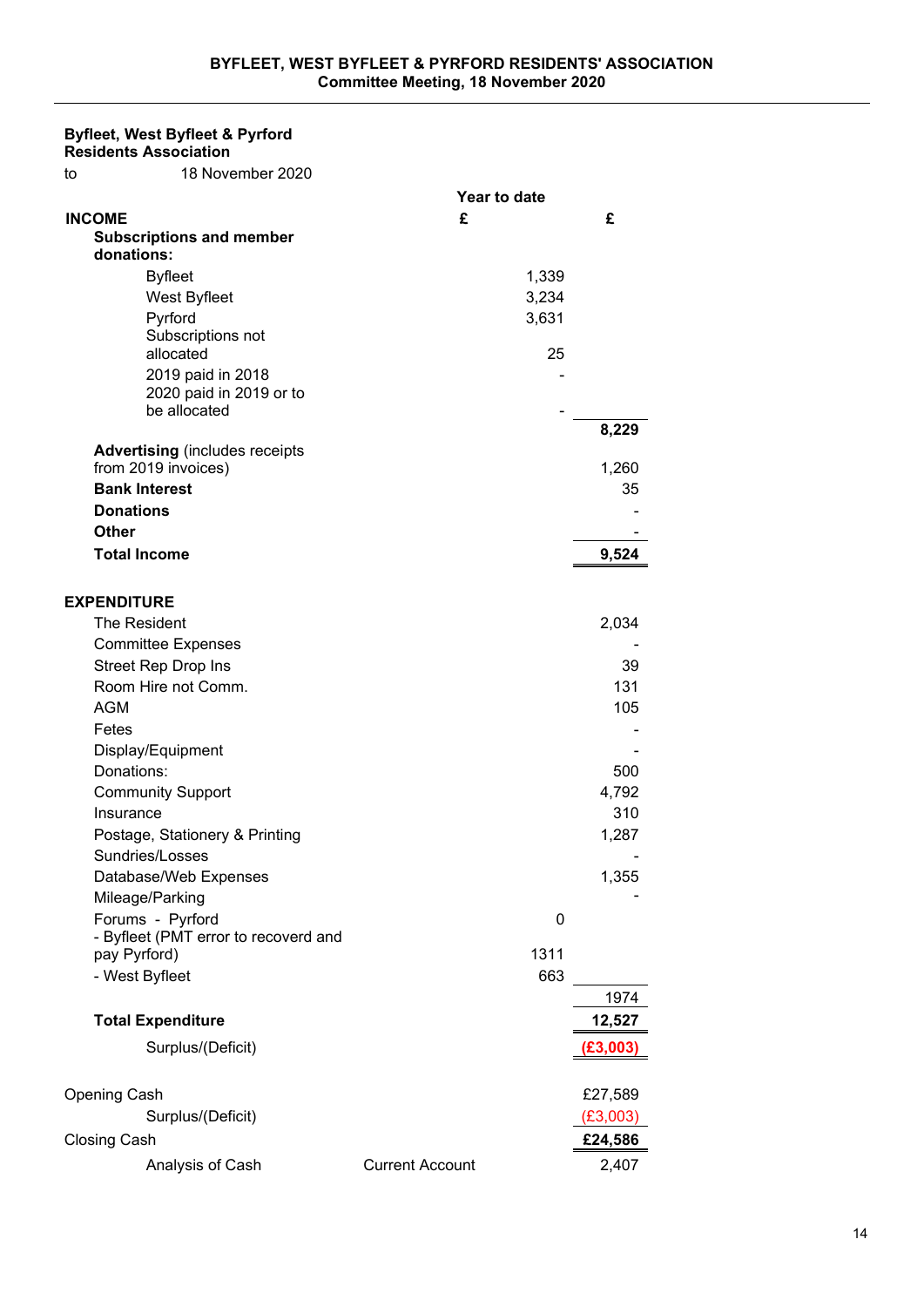# **Byfleet, West Byfleet & Pyrford**

**Residents Association** to 18 November 2020

| £<br>£<br><b>INCOME</b><br><b>Subscriptions and member</b><br>donations:<br><b>Byfleet</b><br>1,339<br>West Byfleet<br>3,234<br>Pyrford<br>3,631<br>Subscriptions not<br>allocated<br>25<br>2019 paid in 2018<br>2020 paid in 2019 or to<br>be allocated<br>8,229<br><b>Advertising (includes receipts</b><br>from 2019 invoices)<br>1,260<br><b>Bank Interest</b><br>35<br><b>Donations</b><br>Other<br><b>Total Income</b><br>9,524<br><b>EXPENDITURE</b><br>The Resident<br>2,034<br><b>Committee Expenses</b><br><b>Street Rep Drop Ins</b><br>39<br>Room Hire not Comm.<br>131<br><b>AGM</b><br>105<br>Fetes<br>Display/Equipment<br>Donations:<br>500<br><b>Community Support</b><br>4,792<br>310<br>Insurance |
|----------------------------------------------------------------------------------------------------------------------------------------------------------------------------------------------------------------------------------------------------------------------------------------------------------------------------------------------------------------------------------------------------------------------------------------------------------------------------------------------------------------------------------------------------------------------------------------------------------------------------------------------------------------------------------------------------------------------|
|                                                                                                                                                                                                                                                                                                                                                                                                                                                                                                                                                                                                                                                                                                                      |
|                                                                                                                                                                                                                                                                                                                                                                                                                                                                                                                                                                                                                                                                                                                      |
|                                                                                                                                                                                                                                                                                                                                                                                                                                                                                                                                                                                                                                                                                                                      |
|                                                                                                                                                                                                                                                                                                                                                                                                                                                                                                                                                                                                                                                                                                                      |
|                                                                                                                                                                                                                                                                                                                                                                                                                                                                                                                                                                                                                                                                                                                      |
|                                                                                                                                                                                                                                                                                                                                                                                                                                                                                                                                                                                                                                                                                                                      |
|                                                                                                                                                                                                                                                                                                                                                                                                                                                                                                                                                                                                                                                                                                                      |
|                                                                                                                                                                                                                                                                                                                                                                                                                                                                                                                                                                                                                                                                                                                      |
|                                                                                                                                                                                                                                                                                                                                                                                                                                                                                                                                                                                                                                                                                                                      |
|                                                                                                                                                                                                                                                                                                                                                                                                                                                                                                                                                                                                                                                                                                                      |
|                                                                                                                                                                                                                                                                                                                                                                                                                                                                                                                                                                                                                                                                                                                      |
|                                                                                                                                                                                                                                                                                                                                                                                                                                                                                                                                                                                                                                                                                                                      |
|                                                                                                                                                                                                                                                                                                                                                                                                                                                                                                                                                                                                                                                                                                                      |
|                                                                                                                                                                                                                                                                                                                                                                                                                                                                                                                                                                                                                                                                                                                      |
|                                                                                                                                                                                                                                                                                                                                                                                                                                                                                                                                                                                                                                                                                                                      |
|                                                                                                                                                                                                                                                                                                                                                                                                                                                                                                                                                                                                                                                                                                                      |
|                                                                                                                                                                                                                                                                                                                                                                                                                                                                                                                                                                                                                                                                                                                      |
|                                                                                                                                                                                                                                                                                                                                                                                                                                                                                                                                                                                                                                                                                                                      |
|                                                                                                                                                                                                                                                                                                                                                                                                                                                                                                                                                                                                                                                                                                                      |
|                                                                                                                                                                                                                                                                                                                                                                                                                                                                                                                                                                                                                                                                                                                      |
|                                                                                                                                                                                                                                                                                                                                                                                                                                                                                                                                                                                                                                                                                                                      |
|                                                                                                                                                                                                                                                                                                                                                                                                                                                                                                                                                                                                                                                                                                                      |
|                                                                                                                                                                                                                                                                                                                                                                                                                                                                                                                                                                                                                                                                                                                      |
|                                                                                                                                                                                                                                                                                                                                                                                                                                                                                                                                                                                                                                                                                                                      |
|                                                                                                                                                                                                                                                                                                                                                                                                                                                                                                                                                                                                                                                                                                                      |
|                                                                                                                                                                                                                                                                                                                                                                                                                                                                                                                                                                                                                                                                                                                      |
|                                                                                                                                                                                                                                                                                                                                                                                                                                                                                                                                                                                                                                                                                                                      |
|                                                                                                                                                                                                                                                                                                                                                                                                                                                                                                                                                                                                                                                                                                                      |
|                                                                                                                                                                                                                                                                                                                                                                                                                                                                                                                                                                                                                                                                                                                      |
| Postage, Stationery & Printing<br>1,287                                                                                                                                                                                                                                                                                                                                                                                                                                                                                                                                                                                                                                                                              |
| Sundries/Losses                                                                                                                                                                                                                                                                                                                                                                                                                                                                                                                                                                                                                                                                                                      |
| Database/Web Expenses<br>1,355                                                                                                                                                                                                                                                                                                                                                                                                                                                                                                                                                                                                                                                                                       |
| Mileage/Parking                                                                                                                                                                                                                                                                                                                                                                                                                                                                                                                                                                                                                                                                                                      |
| Forums - Pyrford<br>0                                                                                                                                                                                                                                                                                                                                                                                                                                                                                                                                                                                                                                                                                                |
| - Byfleet (PMT error to recoverd and                                                                                                                                                                                                                                                                                                                                                                                                                                                                                                                                                                                                                                                                                 |
| pay Pyrford)<br>1311                                                                                                                                                                                                                                                                                                                                                                                                                                                                                                                                                                                                                                                                                                 |
| - West Byfleet<br>663                                                                                                                                                                                                                                                                                                                                                                                                                                                                                                                                                                                                                                                                                                |
| 1974                                                                                                                                                                                                                                                                                                                                                                                                                                                                                                                                                                                                                                                                                                                 |
| <b>Total Expenditure</b><br>12,527                                                                                                                                                                                                                                                                                                                                                                                                                                                                                                                                                                                                                                                                                   |
| Surplus/(Deficit)<br>(E3,003)                                                                                                                                                                                                                                                                                                                                                                                                                                                                                                                                                                                                                                                                                        |
|                                                                                                                                                                                                                                                                                                                                                                                                                                                                                                                                                                                                                                                                                                                      |
| <b>Opening Cash</b><br>£27,589                                                                                                                                                                                                                                                                                                                                                                                                                                                                                                                                                                                                                                                                                       |
| Surplus/(Deficit)<br>(£3,003)                                                                                                                                                                                                                                                                                                                                                                                                                                                                                                                                                                                                                                                                                        |
| <b>Closing Cash</b><br>£24,586                                                                                                                                                                                                                                                                                                                                                                                                                                                                                                                                                                                                                                                                                       |
| Analysis of Cash<br><b>Current Account</b><br>2,407                                                                                                                                                                                                                                                                                                                                                                                                                                                                                                                                                                                                                                                                  |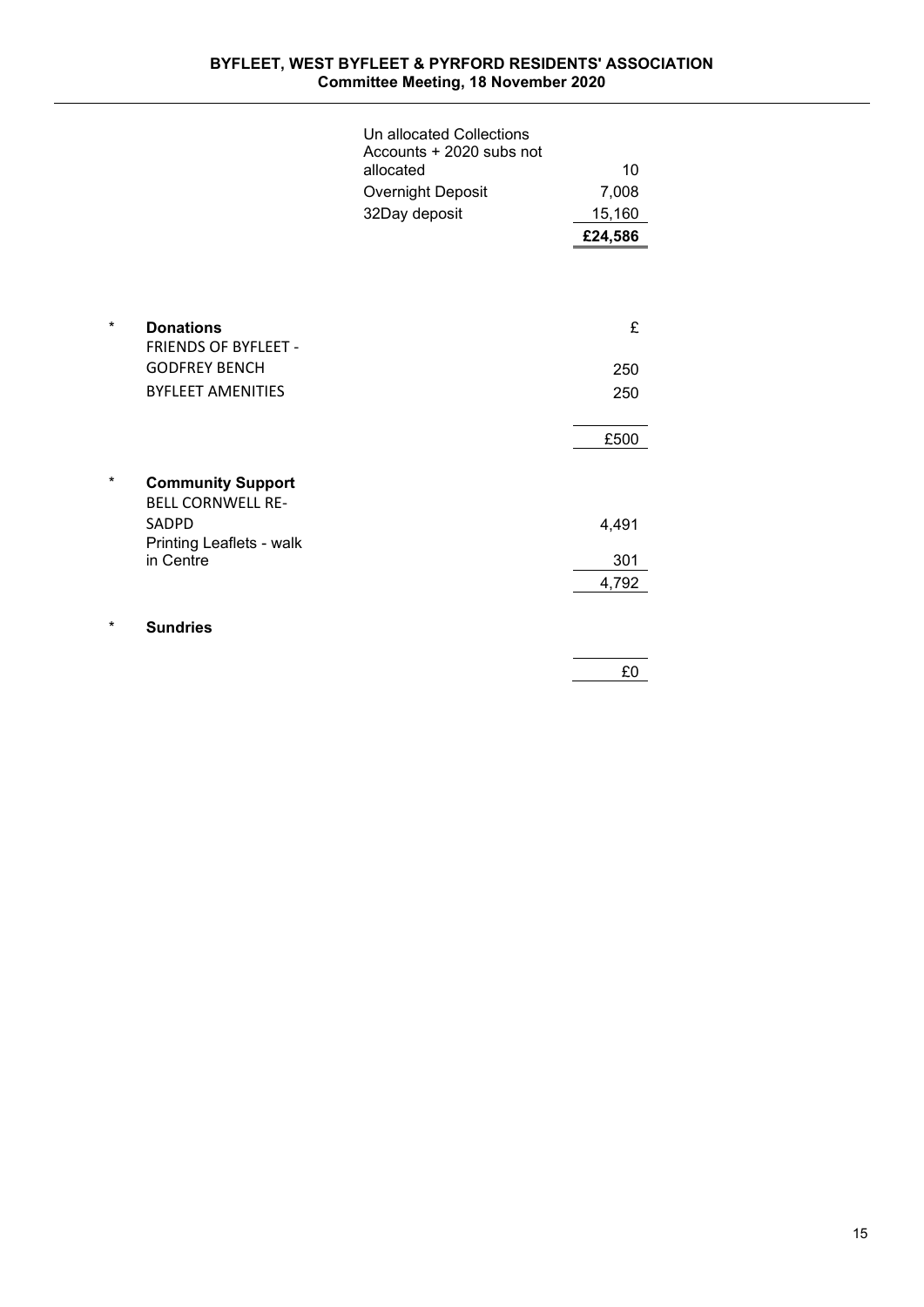#### **BYFLEET, WEST BYFLEET & PYRFORD RESIDENTS' ASSOCIATION Committee Meeting, 18 November 2020**

|   |                                          | Un allocated Collections<br>Accounts + 2020 subs not |         |
|---|------------------------------------------|------------------------------------------------------|---------|
|   |                                          | allocated                                            | 10      |
|   |                                          | <b>Overnight Deposit</b>                             | 7,008   |
|   |                                          | 32Day deposit                                        | 15,160  |
|   |                                          |                                                      | £24,586 |
|   |                                          |                                                      |         |
|   |                                          |                                                      |         |
| * |                                          |                                                      |         |
|   | <b>Donations</b><br>FRIENDS OF BYFLEET - |                                                      | £       |
|   | <b>GODFREY BENCH</b>                     |                                                      | 250     |
|   | <b>BYFLEET AMENITIES</b>                 |                                                      | 250     |
|   |                                          |                                                      |         |
|   |                                          |                                                      | £500    |
|   |                                          |                                                      |         |
| * | <b>Community Support</b>                 |                                                      |         |
|   | <b>BELL CORNWELL RE-</b><br>SADPD        |                                                      |         |
|   | Printing Leaflets - walk                 |                                                      | 4,491   |
|   | in Centre                                |                                                      | 301     |
|   |                                          |                                                      | 4,792   |
| * |                                          |                                                      |         |
|   | <b>Sundries</b>                          |                                                      |         |
|   |                                          |                                                      | £0      |
|   |                                          |                                                      |         |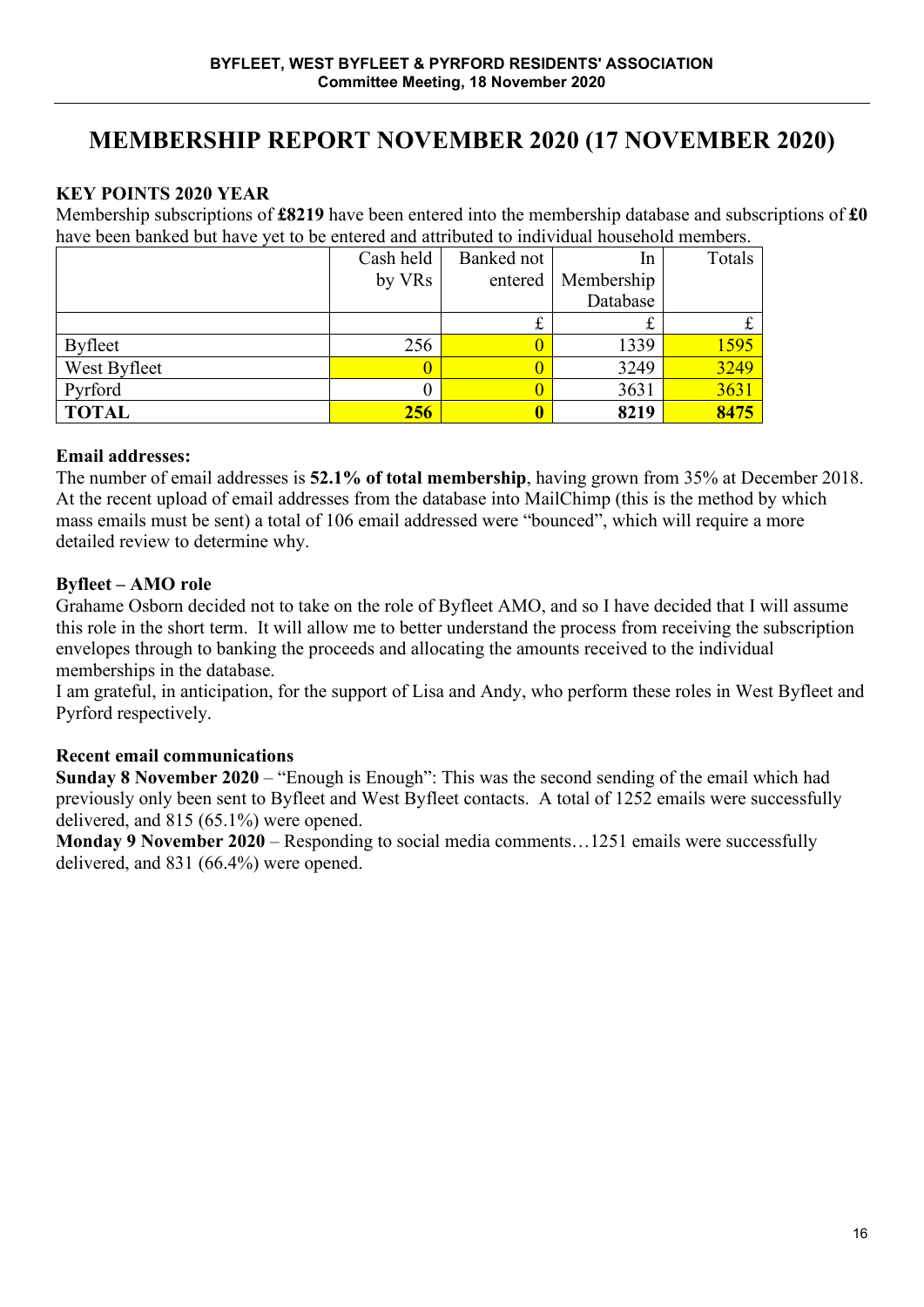# **MEMBERSHIP REPORT NOVEMBER 2020 (17 NOVEMBER 2020)**

# **KEY POINTS 2020 YEAR**

Membership subscriptions of **£8219** have been entered into the membership database and subscriptions of **£0**  have been banked but have yet to be entered and attributed to individual household members.

|                | Cash held | Banked not | 1 <sub>n</sub> | Totals |
|----------------|-----------|------------|----------------|--------|
|                | by VRs    | entered    | Membership     |        |
|                |           |            | Database       |        |
|                |           | ىمە        | ىلە            |        |
| <b>Byfleet</b> | 256       |            | 1339           | 1595   |
| West Byfleet   |           |            | 3249           | 3249   |
| Pyrford        |           |            | 3631           | 3631   |
| <b>TOTAL</b>   | 256       |            | 8219           | 8475   |

# **Email addresses:**

The number of email addresses is **52.1% of total membership**, having grown from 35% at December 2018. At the recent upload of email addresses from the database into MailChimp (this is the method by which mass emails must be sent) a total of 106 email addressed were "bounced", which will require a more detailed review to determine why.

# **Byfleet – AMO role**

Grahame Osborn decided not to take on the role of Byfleet AMO, and so I have decided that I will assume this role in the short term. It will allow me to better understand the process from receiving the subscription envelopes through to banking the proceeds and allocating the amounts received to the individual memberships in the database.

I am grateful, in anticipation, for the support of Lisa and Andy, who perform these roles in West Byfleet and Pyrford respectively.

# **Recent email communications**

**Sunday 8 November 2020** – "Enough is Enough": This was the second sending of the email which had previously only been sent to Byfleet and West Byfleet contacts. A total of 1252 emails were successfully delivered, and 815 (65.1%) were opened.

**Monday 9 November 2020** – Responding to social media comments…1251 emails were successfully delivered, and 831 (66.4%) were opened.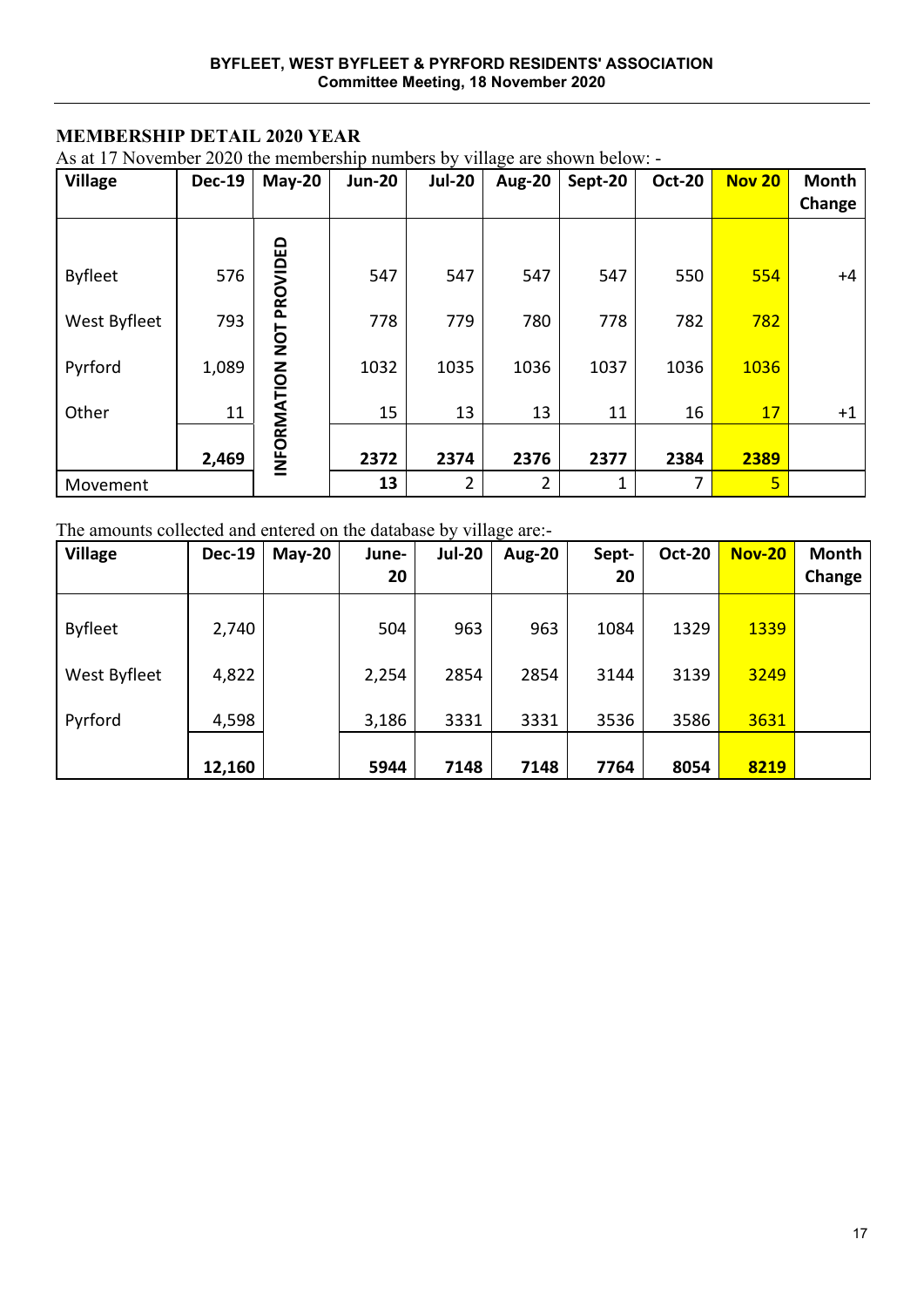# **MEMBERSHIP DETAIL 2020 YEAR**

As at 17 November 2020 the membership numbers by village are shown below: -

| <b>Village</b> | <b>Dec-19</b> | <b>May-20</b>   | <b>Jun-20</b> | <b>Jul-20</b> | O<br><b>Aug-20</b> | Sept-20 | <b>Oct-20</b> | <b>Nov 20</b>           | Month<br>Change |
|----------------|---------------|-----------------|---------------|---------------|--------------------|---------|---------------|-------------------------|-----------------|
|                |               |                 |               |               |                    |         |               |                         |                 |
| <b>Byfleet</b> | 576           | PROVIDED        | 547           | 547           | 547                | 547     | 550           | 554                     | +4              |
| West Byfleet   | 793           |                 | 778           | 779           | 780                | 778     | 782           | 782                     |                 |
| Pyrford        | 1,089         | INFORMATION NOT | 1032          | 1035          | 1036               | 1037    | 1036          | 1036                    |                 |
| Other          | 11            |                 | 15            | 13            | 13                 | 11      | 16            | 17                      | $+1$            |
|                | 2,469         |                 | 2372          | 2374          | 2376               | 2377    | 2384          | 2389                    |                 |
| Movement       |               |                 | 13            | 2             | 2                  | 1       | 7             | $\overline{\mathbf{5}}$ |                 |

#### The amounts collected and entered on the database by village are:-

| <b>Village</b> | <b>Dec-19</b> | $May-20$ | June-<br>20 | <b>Jul-20</b> | <b>Aug-20</b> | Sept-<br>20 | <b>Oct-20</b> | <b>Nov-20</b> | <b>Month</b><br>Change |
|----------------|---------------|----------|-------------|---------------|---------------|-------------|---------------|---------------|------------------------|
| <b>Byfleet</b> | 2,740         |          | 504         | 963           | 963           | 1084        | 1329          | 1339          |                        |
| West Byfleet   | 4,822         |          | 2,254       | 2854          | 2854          | 3144        | 3139          | 3249          |                        |
| Pyrford        | 4,598         |          | 3,186       | 3331          | 3331          | 3536        | 3586          | 3631          |                        |
|                | 12,160        |          | 5944        | 7148          | 7148          | 7764        | 8054          | 8219          |                        |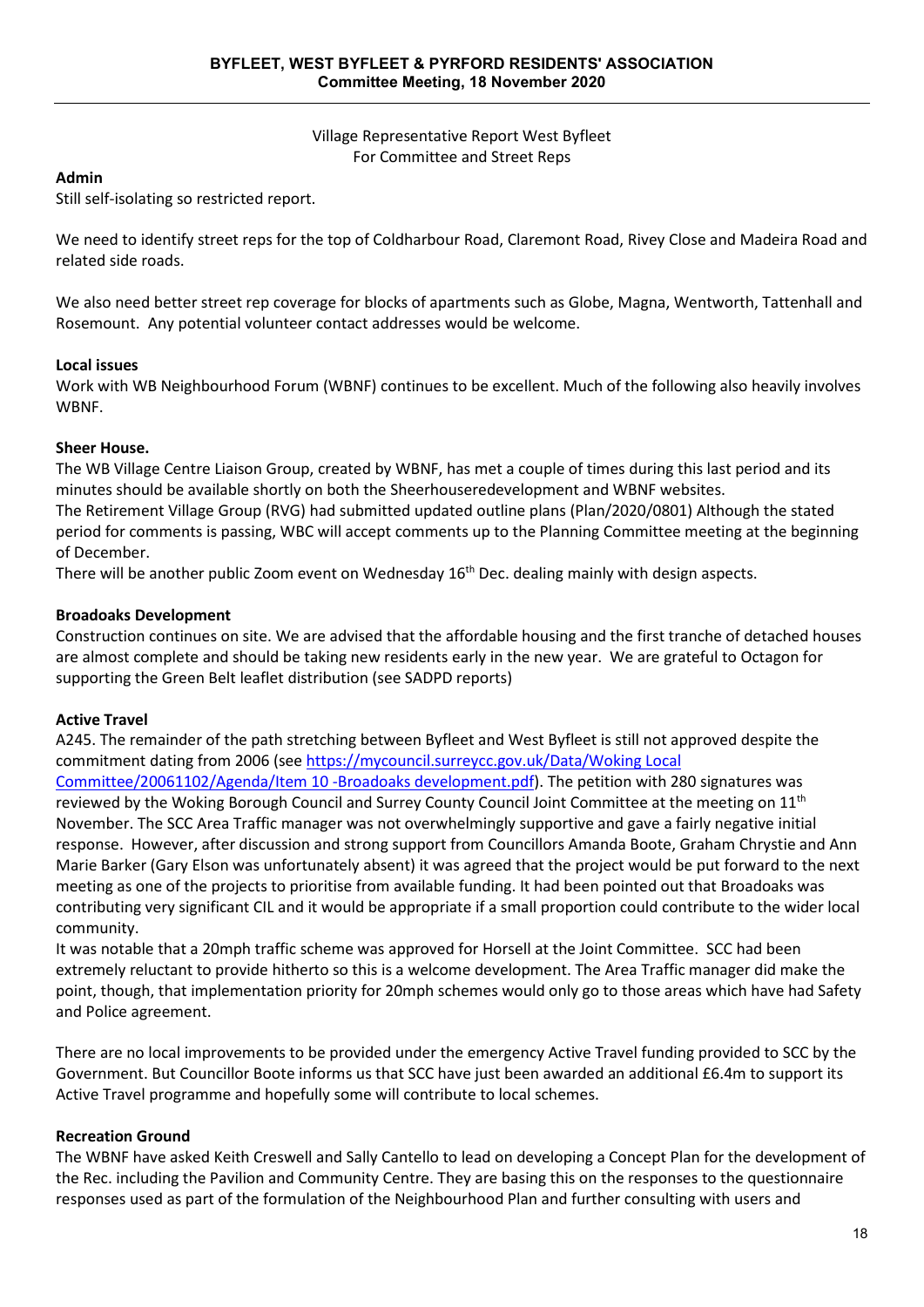Village Representative Report West Byfleet For Committee and Street Reps

#### **Admin**

Still self-isolating so restricted report.

We need to identify street reps for the top of Coldharbour Road, Claremont Road, Rivey Close and Madeira Road and related side roads.

We also need better street rep coverage for blocks of apartments such as Globe, Magna, Wentworth, Tattenhall and Rosemount. Any potential volunteer contact addresses would be welcome.

#### **Local issues**

Work with WB Neighbourhood Forum (WBNF) continues to be excellent. Much of the following also heavily involves **WRNF** 

#### **Sheer House.**

The WB Village Centre Liaison Group, created by WBNF, has met a couple of times during this last period and its minutes should be available shortly on both the Sheerhouseredevelopment and WBNF websites.

The Retirement Village Group (RVG) had submitted updated outline plans (Plan/2020/0801) Although the stated period for comments is passing, WBC will accept comments up to the Planning Committee meeting at the beginning of December.

There will be another public Zoom event on Wednesday 16<sup>th</sup> Dec. dealing mainly with design aspects.

#### **Broadoaks Development**

Construction continues on site. We are advised that the affordable housing and the first tranche of detached houses are almost complete and should be taking new residents early in the new year. We are grateful to Octagon for supporting the Green Belt leaflet distribution (see SADPD reports)

#### **Active Travel**

community.

A245. The remainder of the path stretching between Byfleet and West Byfleet is still not approved despite the commitment dating from 2006 (see [https://mycouncil.surreycc.gov.uk/Data/Woking Local](https://mycouncil.surreycc.gov.uk/Data/Woking%20Local%20Committee/20061102/Agenda/Item%2010%20-Broadoaks%20development.pdf)  [Committee/20061102/Agenda/Item 10 -Broadoaks development.pdf\)](https://mycouncil.surreycc.gov.uk/Data/Woking%20Local%20Committee/20061102/Agenda/Item%2010%20-Broadoaks%20development.pdf). The petition with 280 signatures was reviewed by the Woking Borough Council and Surrey County Council Joint Committee at the meeting on 11<sup>th</sup> November. The SCC Area Traffic manager was not overwhelmingly supportive and gave a fairly negative initial response. However, after discussion and strong support from Councillors Amanda Boote, Graham Chrystie and Ann Marie Barker (Gary Elson was unfortunately absent) it was agreed that the project would be put forward to the next meeting as one of the projects to prioritise from available funding. It had been pointed out that Broadoaks was contributing very significant CIL and it would be appropriate if a small proportion could contribute to the wider local

It was notable that a 20mph traffic scheme was approved for Horsell at the Joint Committee. SCC had been extremely reluctant to provide hitherto so this is a welcome development. The Area Traffic manager did make the point, though, that implementation priority for 20mph schemes would only go to those areas which have had Safety and Police agreement.

There are no local improvements to be provided under the emergency Active Travel funding provided to SCC by the Government. But Councillor Boote informs us that SCC have just been awarded an additional £6.4m to support its Active Travel programme and hopefully some will contribute to local schemes.

#### **Recreation Ground**

The WBNF have asked Keith Creswell and Sally Cantello to lead on developing a Concept Plan for the development of the Rec. including the Pavilion and Community Centre. They are basing this on the responses to the questionnaire responses used as part of the formulation of the Neighbourhood Plan and further consulting with users and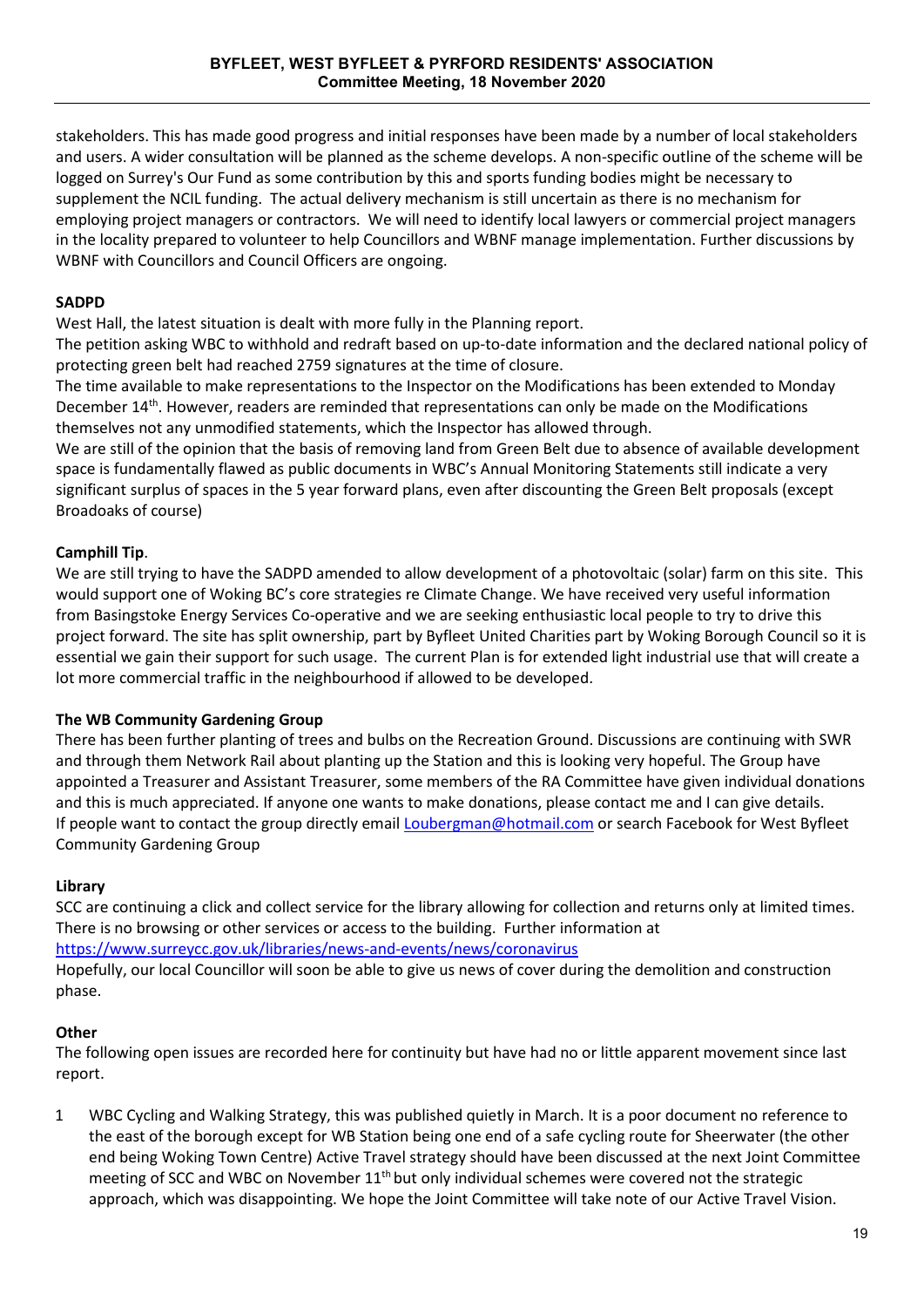stakeholders. This has made good progress and initial responses have been made by a number of local stakeholders and users. A wider consultation will be planned as the scheme develops. A non-specific outline of the scheme will be logged on Surrey's Our Fund as some contribution by this and sports funding bodies might be necessary to supplement the NCIL funding. The actual delivery mechanism is still uncertain as there is no mechanism for employing project managers or contractors. We will need to identify local lawyers or commercial project managers in the locality prepared to volunteer to help Councillors and WBNF manage implementation. Further discussions by WBNF with Councillors and Council Officers are ongoing.

#### **SADPD**

West Hall, the latest situation is dealt with more fully in the Planning report.

The petition asking WBC to withhold and redraft based on up-to-date information and the declared national policy of protecting green belt had reached 2759 signatures at the time of closure.

The time available to make representations to the Inspector on the Modifications has been extended to Monday December 14th. However, readers are reminded that representations can only be made on the Modifications themselves not any unmodified statements, which the Inspector has allowed through.

We are still of the opinion that the basis of removing land from Green Belt due to absence of available development space is fundamentally flawed as public documents in WBC's Annual Monitoring Statements still indicate a very significant surplus of spaces in the 5 year forward plans, even after discounting the Green Belt proposals (except Broadoaks of course)

# **Camphill Tip**.

We are still trying to have the SADPD amended to allow development of a photovoltaic (solar) farm on this site. This would support one of Woking BC's core strategies re Climate Change. We have received very useful information from Basingstoke Energy Services Co-operative and we are seeking enthusiastic local people to try to drive this project forward. The site has split ownership, part by Byfleet United Charities part by Woking Borough Council so it is essential we gain their support for such usage. The current Plan is for extended light industrial use that will create a lot more commercial traffic in the neighbourhood if allowed to be developed.

#### **The WB Community Gardening Group**

There has been further planting of trees and bulbs on the Recreation Ground. Discussions are continuing with SWR and through them Network Rail about planting up the Station and this is looking very hopeful. The Group have appointed a Treasurer and Assistant Treasurer, some members of the RA Committee have given individual donations and this is much appreciated. If anyone one wants to make donations, please contact me and I can give details. If people want to contact the group directly email [Loubergman@hotmail.com](mailto:Loubergman@hotmail.com) or search Facebook for West Byfleet Community Gardening Group

#### **Library**

SCC are continuing a click and collect service for the library allowing for collection and returns only at limited times. There is no browsing or other services or access to the building. Further information at <https://www.surreycc.gov.uk/libraries/news-and-events/news/coronavirus>

Hopefully, our local Councillor will soon be able to give us news of cover during the demolition and construction phase.

#### **Other**

The following open issues are recorded here for continuity but have had no or little apparent movement since last report.

1 WBC Cycling and Walking Strategy, this was published quietly in March. It is a poor document no reference to the east of the borough except for WB Station being one end of a safe cycling route for Sheerwater (the other end being Woking Town Centre) Active Travel strategy should have been discussed at the next Joint Committee meeting of SCC and WBC on November  $11<sup>th</sup>$  but only individual schemes were covered not the strategic approach, which was disappointing. We hope the Joint Committee will take note of our Active Travel Vision.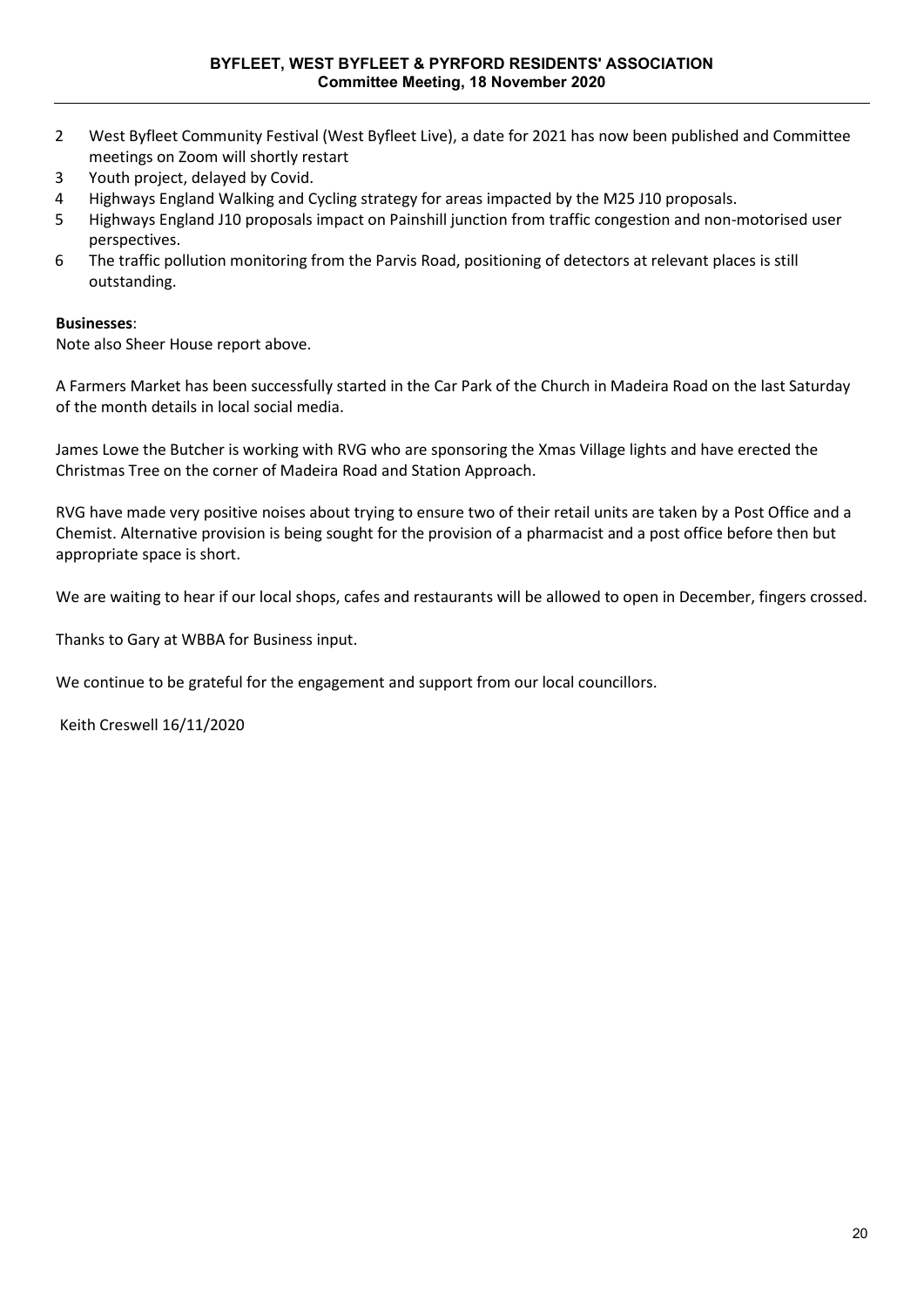- 2 West Byfleet Community Festival (West Byfleet Live), a date for 2021 has now been published and Committee meetings on Zoom will shortly restart
- 3 Youth project, delayed by Covid.
- 4 Highways England Walking and Cycling strategy for areas impacted by the M25 J10 proposals.
- 5 Highways England J10 proposals impact on Painshill junction from traffic congestion and non-motorised user perspectives.
- 6 The traffic pollution monitoring from the Parvis Road, positioning of detectors at relevant places is still outstanding.

#### **Businesses**:

Note also Sheer House report above.

A Farmers Market has been successfully started in the Car Park of the Church in Madeira Road on the last Saturday of the month details in local social media.

James Lowe the Butcher is working with RVG who are sponsoring the Xmas Village lights and have erected the Christmas Tree on the corner of Madeira Road and Station Approach.

RVG have made very positive noises about trying to ensure two of their retail units are taken by a Post Office and a Chemist. Alternative provision is being sought for the provision of a pharmacist and a post office before then but appropriate space is short.

We are waiting to hear if our local shops, cafes and restaurants will be allowed to open in December, fingers crossed.

Thanks to Gary at WBBA for Business input.

We continue to be grateful for the engagement and support from our local councillors.

Keith Creswell 16/11/2020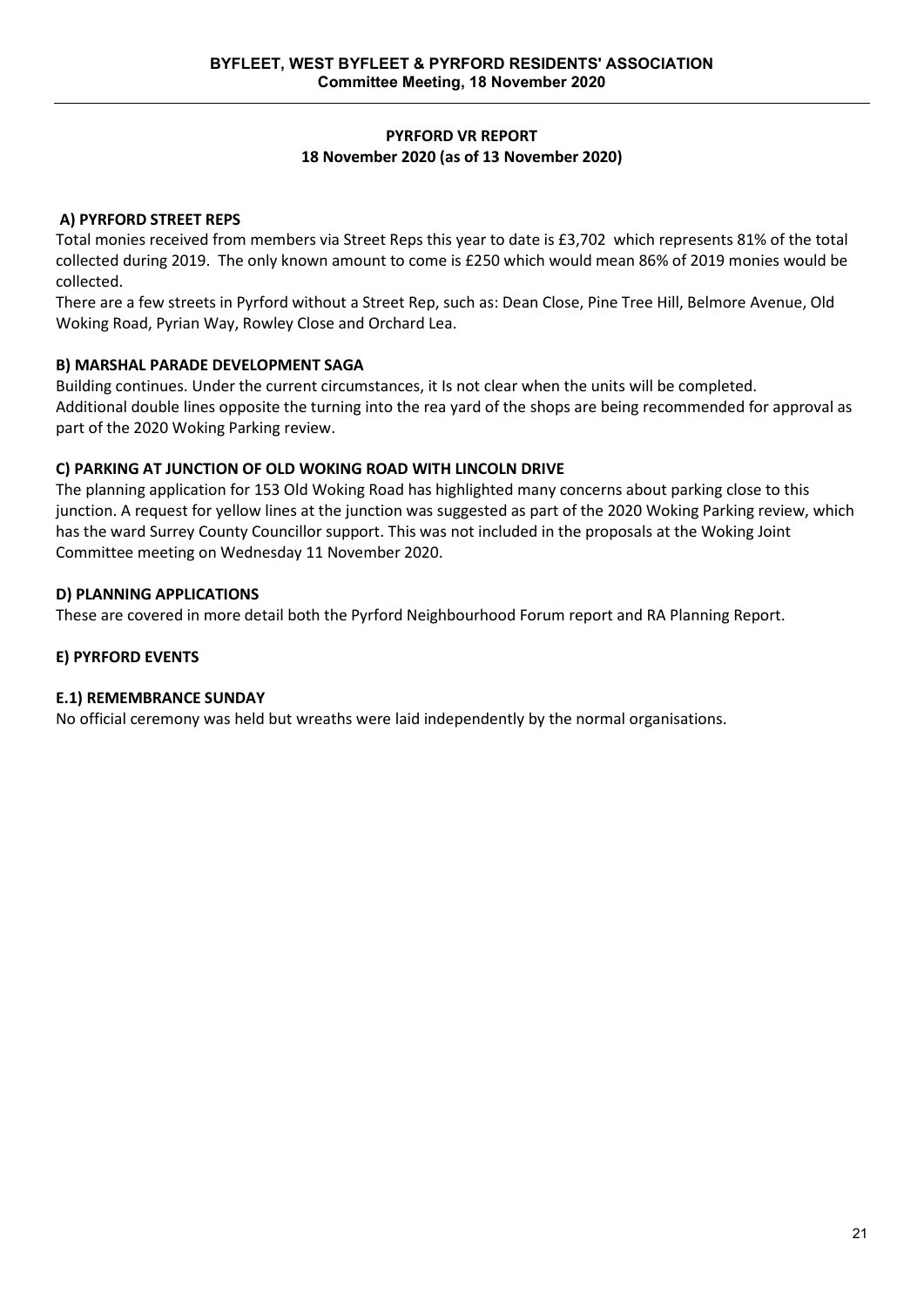#### **PYRFORD VR REPORT 18 November 2020 (as of 13 November 2020)**

#### **A) PYRFORD STREET REPS**

Total monies received from members via Street Reps this year to date is £3,702 which represents 81% of the total collected during 2019. The only known amount to come is £250 which would mean 86% of 2019 monies would be collected.

There are a few streets in Pyrford without a Street Rep, such as: Dean Close, Pine Tree Hill, Belmore Avenue, Old Woking Road, Pyrian Way, Rowley Close and Orchard Lea.

#### **B) MARSHAL PARADE DEVELOPMENT SAGA**

Building continues. Under the current circumstances, it Is not clear when the units will be completed. Additional double lines opposite the turning into the rea yard of the shops are being recommended for approval as part of the 2020 Woking Parking review.

#### **C) PARKING AT JUNCTION OF OLD WOKING ROAD WITH LINCOLN DRIVE**

The planning application for 153 Old Woking Road has highlighted many concerns about parking close to this junction. A request for yellow lines at the junction was suggested as part of the 2020 Woking Parking review, which has the ward Surrey County Councillor support. This was not included in the proposals at the Woking Joint Committee meeting on Wednesday 11 November 2020.

#### **D) PLANNING APPLICATIONS**

These are covered in more detail both the Pyrford Neighbourhood Forum report and RA Planning Report.

#### **E) PYRFORD EVENTS**

#### **E.1) REMEMBRANCE SUNDAY**

No official ceremony was held but wreaths were laid independently by the normal organisations.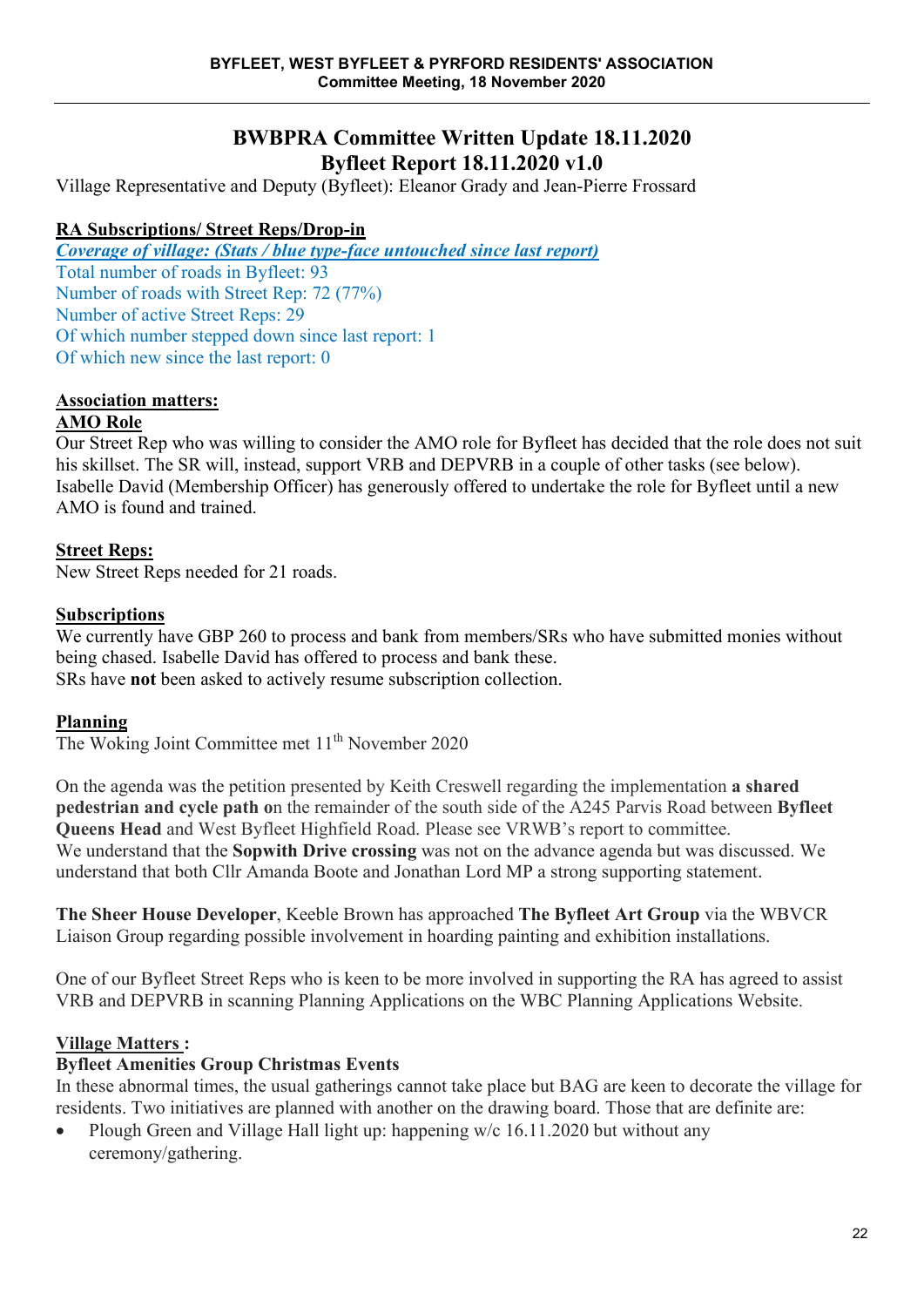# **BWBPRA Committee Written Update 18.11.2020 Byfleet Report 18.11.2020 v1.0**

Village Representative and Deputy (Byfleet): Eleanor Grady and Jean-Pierre Frossard

# **RA Subscriptions/ Street Reps/Drop-in**

*Coverage of village: (Stats / blue type-face untouched since last report)* Total number of roads in Byfleet: 93 Number of roads with Street Rep: 72 (77%) Number of active Street Reps: 29 Of which number stepped down since last report: 1 Of which new since the last report: 0

# **Association matters:**

# **AMO Role**

Our Street Rep who was willing to consider the AMO role for Byfleet has decided that the role does not suit his skillset. The SR will, instead, support VRB and DEPVRB in a couple of other tasks (see below). Isabelle David (Membership Officer) has generously offered to undertake the role for Byfleet until a new AMO is found and trained.

# **Street Reps:**

New Street Reps needed for 21 roads.

### **Subscriptions**

We currently have GBP 260 to process and bank from members/SRs who have submitted monies without being chased. Isabelle David has offered to process and bank these. SRs have **not** been asked to actively resume subscription collection.

#### **Planning**

The Woking Joint Committee met 11<sup>th</sup> November 2020

On the agenda was the petition presented by Keith Creswell regarding the implementation **a shared pedestrian and cycle path o**n the remainder of the south side of the A245 Parvis Road between **Byfleet Queens Head** and West Byfleet Highfield Road. Please see VRWB's report to committee. We understand that the **Sopwith Drive crossing** was not on the advance agenda but was discussed. We understand that both Cllr Amanda Boote and Jonathan Lord MP a strong supporting statement.

**The Sheer House Developer**, Keeble Brown has approached **The Byfleet Art Group** via the WBVCR Liaison Group regarding possible involvement in hoarding painting and exhibition installations.

One of our Byfleet Street Reps who is keen to be more involved in supporting the RA has agreed to assist VRB and DEPVRB in scanning Planning Applications on the WBC Planning Applications Website.

# **Village Matters :**

# **Byfleet Amenities Group Christmas Events**

In these abnormal times, the usual gatherings cannot take place but BAG are keen to decorate the village for residents. Two initiatives are planned with another on the drawing board. Those that are definite are:

• Plough Green and Village Hall light up: happening w/c 16.11.2020 but without any ceremony/gathering.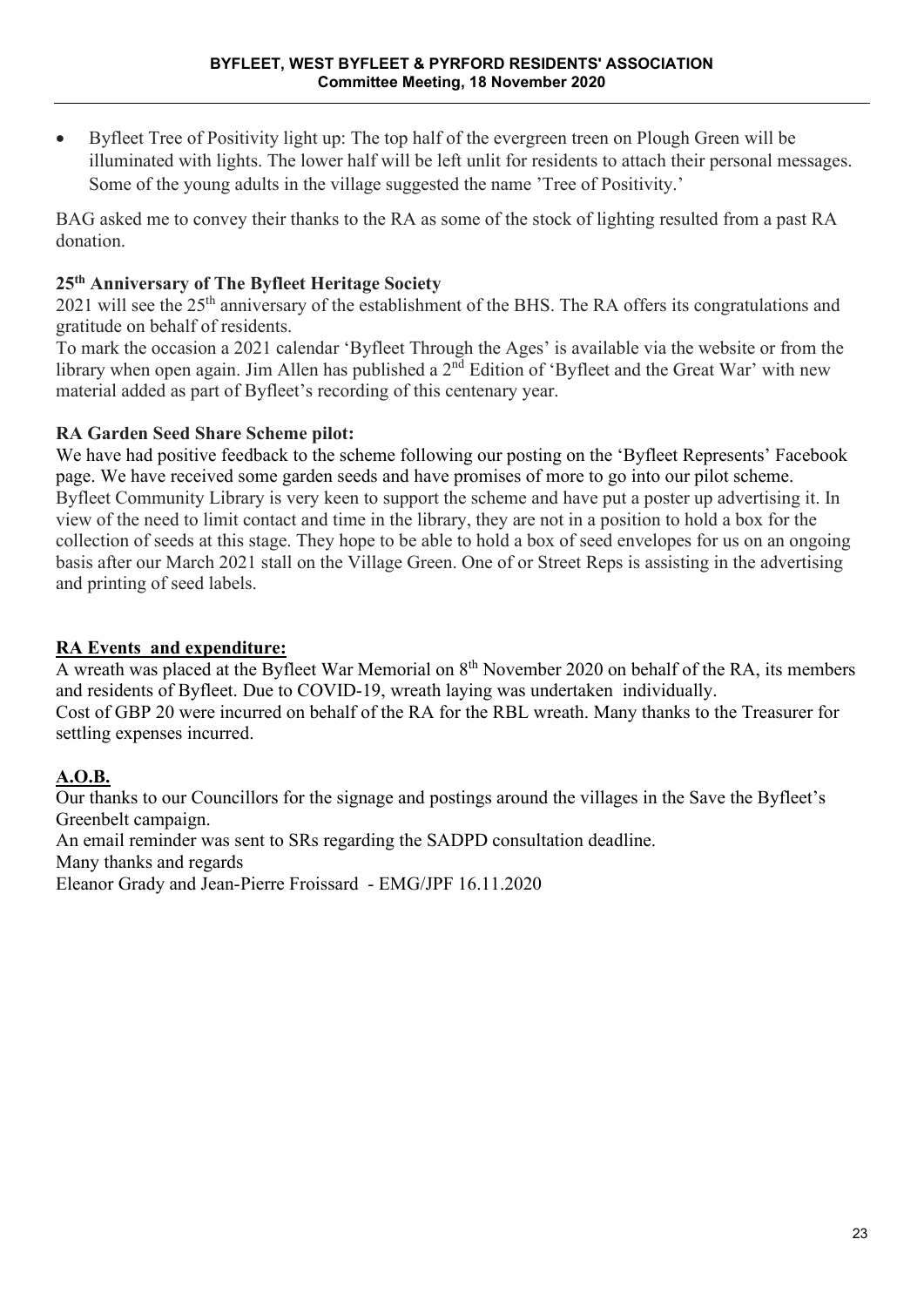• Byfleet Tree of Positivity light up: The top half of the evergreen treen on Plough Green will be illuminated with lights. The lower half will be left unlit for residents to attach their personal messages. Some of the young adults in the village suggested the name 'Tree of Positivity.'

BAG asked me to convey their thanks to the RA as some of the stock of lighting resulted from a past RA donation.

# **25th Anniversary of The Byfleet Heritage Society**

2021 will see the 25<sup>th</sup> anniversary of the establishment of the BHS. The RA offers its congratulations and gratitude on behalf of residents.

To mark the occasion a 2021 calendar 'Byfleet Through the Ages' is available via the website or from the library when open again. Jim Allen has published a 2<sup>nd</sup> Edition of 'Byfleet and the Great War' with new material added as part of Byfleet's recording of this centenary year.

# **RA Garden Seed Share Scheme pilot:**

We have had positive feedback to the scheme following our posting on the 'Byfleet Represents' Facebook page. We have received some garden seeds and have promises of more to go into our pilot scheme. Byfleet Community Library is very keen to support the scheme and have put a poster up advertising it. In view of the need to limit contact and time in the library, they are not in a position to hold a box for the collection of seeds at this stage. They hope to be able to hold a box of seed envelopes for us on an ongoing basis after our March 2021 stall on the Village Green. One of or Street Reps is assisting in the advertising and printing of seed labels.

# **RA Events and expenditure:**

A wreath was placed at the Byfleet War Memorial on  $8<sup>th</sup>$  November 2020 on behalf of the RA, its members and residents of Byfleet. Due to COVID-19, wreath laying was undertaken individually. Cost of GBP 20 were incurred on behalf of the RA for the RBL wreath. Many thanks to the Treasurer for settling expenses incurred.

# **A.O.B.**

Our thanks to our Councillors for the signage and postings around the villages in the Save the Byfleet's Greenbelt campaign.

An email reminder was sent to SRs regarding the SADPD consultation deadline.

Many thanks and regards

Eleanor Grady and Jean-Pierre Froissard - EMG/JPF 16.11.2020